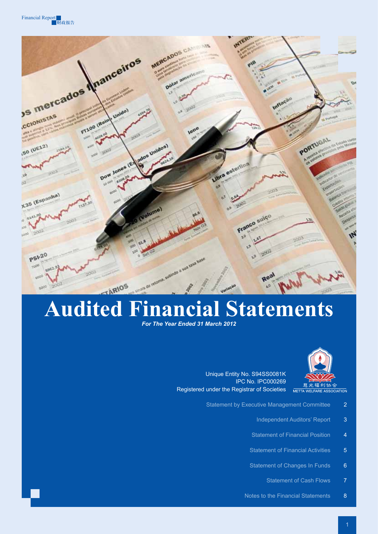



# **Audited Financial Statements**

*For The Year Ended 31 March 2012* 



Unique Entity No. S94SS0081K IPC No. IPC000269 Registered under the Registrar of Societies

- Statement by Executive Management Committee 2
	- Independent Auditors' Report 3
	- Statement of Financial Position 4
	- Statement of Financial Activities 5
	- Statement of Changes In Funds 6
		- Statement of Cash Flows 7
	- Notes to the Financial Statements 8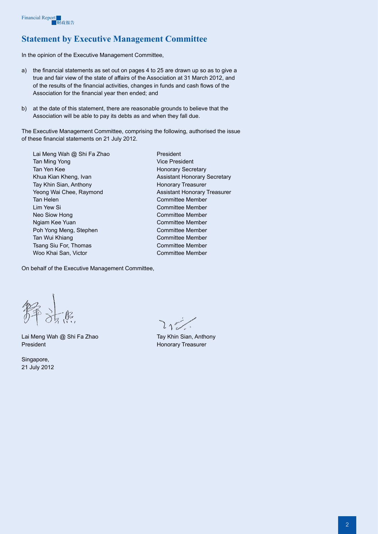# **Statement by Executive Management Committee**

In the opinion of the Executive Management Committee,

- a) the financial statements as set out on pages 4 to 25 are drawn up so as to give a true and fair view of the state of affairs of the Association at 31 March 2012, and of the results of the financial activities, changes in funds and cash flows of the Association for the financial year then ended; and
- b) at the date of this statement, there are reasonable grounds to believe that the Association will be able to pay its debts as and when they fall due.

The Executive Management Committee, comprising the following, authorised the issue of these financial statements on 21 July 2012.

Lai Meng Wah @ Shi Fa Zhao President Tan Ming Yong Vice President Tan Yen Kee Honorary Secretary Khua Kian Kheng, Ivan Assistant Honorary Secretary Tay Khin Sian, Anthony **Honorary Treasurer** Yeong Wai Chee, Raymond **Assistant Honorary Treasurer** Tan Helen Committee Member Lim Yew Si Committee Member Neo Siow Hong Committee Member Ngiam Kee Yuan Committee Member Poh Yong Meng, Stephen Committee Member Tan Wui Khiang Committee Member Tsang Siu For, Thomas Committee Member Woo Khai San, Victor Committee Member

On behalf of the Executive Management Committee,

Lai Meng Wah @ Shi Fa Zhao Tay Khin Sian, Anthony President **Honorary Treasurer** 

Singapore, 21 July 2012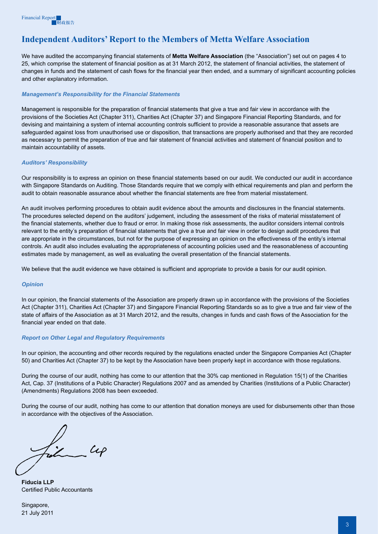# **Independent Auditors' Report to the Members of Metta Welfare Association**

We have audited the accompanying financial statements of **Metta Welfare Association** (the "Association") set out on pages 4 to 25, which comprise the statement of financial position as at 31 March 2012, the statement of financial activities, the statement of changes in funds and the statement of cash flows for the financial year then ended, and a summary of significant accounting policies and other explanatory information.

#### *Management's Responsibility for the Financial Statements*

Management is responsible for the preparation of financial statements that give a true and fair view in accordance with the provisions of the Societies Act (Chapter 311), Charities Act (Chapter 37) and Singapore Financial Reporting Standards, and for devising and maintaining a system of internal accounting controls sufficient to provide a reasonable assurance that assets are safeguarded against loss from unauthorised use or disposition, that transactions are properly authorised and that they are recorded as necessary to permit the preparation of true and fair statement of financial activities and statement of financial position and to maintain accountability of assets.

#### *Auditors' Responsibility*

Our responsibility is to express an opinion on these financial statements based on our audit. We conducted our audit in accordance with Singapore Standards on Auditing. Those Standards require that we comply with ethical requirements and plan and perform the audit to obtain reasonable assurance about whether the financial statements are free from material misstatement.

An audit involves performing procedures to obtain audit evidence about the amounts and disclosures in the financial statements. The procedures selected depend on the auditors' judgement, including the assessment of the risks of material misstatement of the financial statements, whether due to fraud or error. In making those risk assessments, the auditor considers internal controls relevant to the entity's preparation of financial statements that give a true and fair view in order to design audit procedures that are appropriate in the circumstances, but not for the purpose of expressing an opinion on the effectiveness of the entity's internal controls. An audit also includes evaluating the appropriateness of accounting policies used and the reasonableness of accounting estimates made by management, as well as evaluating the overall presentation of the financial statements.

We believe that the audit evidence we have obtained is sufficient and appropriate to provide a basis for our audit opinion.

#### *Opinion*

In our opinion, the financial statements of the Association are properly drawn up in accordance with the provisions of the Societies Act (Chapter 311), Charities Act (Chapter 37) and Singapore Financial Reporting Standards so as to give a true and fair view of the state of affairs of the Association as at 31 March 2012, and the results, changes in funds and cash flows of the Association for the financial year ended on that date.

#### *Report on Other Legal and Regulatory Requirements*

In our opinion, the accounting and other records required by the regulations enacted under the Singapore Companies Act (Chapter 50) and Charities Act (Chapter 37) to be kept by the Association have been properly kept in accordance with those regulations.

During the course of our audit, nothing has come to our attention that the 30% cap mentioned in Regulation 15(1) of the Charities Act, Cap. 37 (Institutions of a Public Character) Regulations 2007 and as amended by Charities (Institutions of a Public Character) (Amendments) Regulations 2008 has been exceeded.

During the course of our audit, nothing has come to our attention that donation moneys are used for disbursements other than those in accordance with the objectives of the Association.

Fish  $\mathcal{L}\mathcal{L}$ 

**Fiducia LLP** Certified Public Accountants

Singapore, 21 July 2011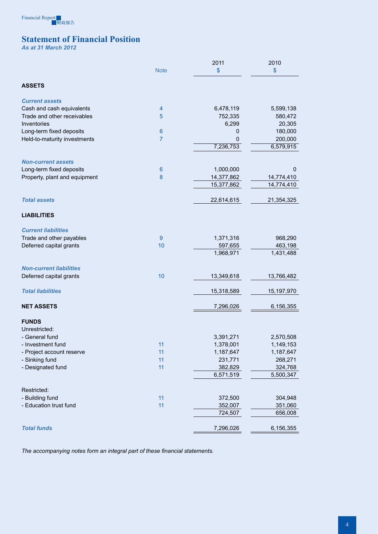

# **Statement of Financial Position**

*As at 31 March 2012*

|                                |                 | 2011          | 2010       |
|--------------------------------|-----------------|---------------|------------|
|                                | <b>Note</b>     | $\mathsf{\$}$ | $\sqrt{3}$ |
|                                |                 |               |            |
| <b>ASSETS</b>                  |                 |               |            |
| <b>Current assets</b>          |                 |               |            |
| Cash and cash equivalents      | 4               | 6,478,119     | 5,599,138  |
| Trade and other receivables    | 5               | 752,335       | 580,472    |
| Inventories                    |                 | 6,299         | 20,305     |
| Long-term fixed deposits       | $6\phantom{1}6$ | 0             | 180,000    |
| Held-to-maturity investments   | $\overline{7}$  | 0             | 200,000    |
|                                |                 | 7,236,753     | 6,579,915  |
| <b>Non-current assets</b>      |                 |               |            |
| Long-term fixed deposits       | $6\phantom{1}6$ | 1,000,000     | 0          |
| Property, plant and equipment  | 8               | 14,377,862    | 14,774,410 |
|                                |                 | 15,377,862    | 14,774,410 |
| <b>Total assets</b>            |                 | 22,614,615    | 21,354,325 |
|                                |                 |               |            |
| <b>LIABILITIES</b>             |                 |               |            |
| <b>Current liabilities</b>     |                 |               |            |
| Trade and other payables       | 9               | 1,371,316     | 968,290    |
| Deferred capital grants        | 10              | 597,655       | 463,198    |
|                                |                 | 1,968,971     | 1,431,488  |
| <b>Non-current liabilities</b> |                 |               |            |
| Deferred capital grants        | 10              | 13,349,618    | 13,766,482 |
| <b>Total liabilities</b>       |                 | 15,318,589    | 15,197,970 |
| <b>NET ASSETS</b>              |                 | 7,296,026     | 6,156,355  |
| <b>FUNDS</b>                   |                 |               |            |
| Unrestricted:                  |                 |               |            |
| - General fund                 |                 | 3,391,271     | 2,570,508  |
| - Investment fund              | 11              | 1,378,001     | 1,149,153  |
| - Project account reserve      | 11              | 1,187,647     | 1,187,647  |
| - Sinking fund                 | 11              | 231,771       | 268,271    |
| - Designated fund              | 11              | 382,829       | 324,768    |
|                                |                 | 6,571,519     | 5,500,347  |
| Restricted:                    |                 |               |            |
| - Building fund                | 11              | 372,500       | 304,948    |
| - Education trust fund         | 11              | 352,007       | 351,060    |
|                                |                 | 724,507       | 656,008    |
|                                |                 |               |            |
| <b>Total funds</b>             |                 | 7,296,026     | 6,156,355  |

*The accompanying notes form an integral part of these financial statements.*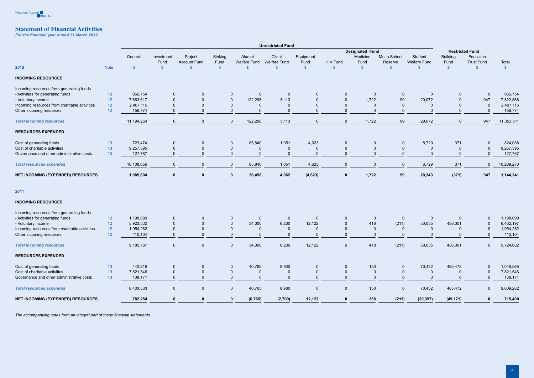

# **Statement of Financial Activities**

*For the financial year ended 31 March 2012* 

|                                               |             |                        |              |                     |                         |                               | <b>Unrestricted Fund</b> |              |                        |               |                |                     |                 |                   |               |
|-----------------------------------------------|-------------|------------------------|--------------|---------------------|-------------------------|-------------------------------|--------------------------|--------------|------------------------|---------------|----------------|---------------------|-----------------|-------------------|---------------|
|                                               |             | <b>Designated Fund</b> |              |                     |                         |                               |                          |              | <b>Restricted Fund</b> |               |                |                     |                 |                   |               |
|                                               |             | General                | Investment   | Project             | Sinking                 | Alumni                        | Client                   | Equipment    |                        | Medicine      | Metta School   | Student             | <b>Building</b> | Education         |               |
|                                               |             |                        | Fund         | <b>Account Fund</b> | Fund                    | <b>Welfare Fund</b>           | <b>Welfare Fund</b>      | Fund         | <b>HIV Fund</b>        | Fund          | Reserve        | <b>Welfare Fund</b> | Fund            | <b>Trust Fund</b> | Total         |
| 2012                                          | <b>Note</b> | $\mathcal{S}$          |              |                     | $\sqrt[6]{\frac{1}{2}}$ | \$                            |                          | $\mathbb{S}$ | $\mathbf{\$}$          | $\sqrt[6]{3}$ | $\mathcal{S}$  | \$                  | $\sqrt{2}$      | $\mathcal{S}$     | $\mathcal{S}$ |
| <b>INCOMING RESOURCES</b>                     |             |                        |              |                     |                         |                               |                          |              |                        |               |                |                     |                 |                   |               |
| Incoming resources from generating funds      |             |                        |              |                     |                         |                               |                          |              |                        |               |                |                     |                 |                   |               |
| - Activities for generating funds             | 12          | 966,754                | $\mathbf 0$  |                     |                         | $\mathbf 0$<br>$\overline{0}$ | -0                       | $\Omega$     | 0                      | $\mathbf{0}$  | $\mathbf{0}$   | $\mathbf 0$         | 0               | $\mathbf{0}$      | 966,754       |
| - Voluntary income                            | 12          | 7,663,617              |              |                     |                         | $\mathbf 0$<br>122,298        | 5,113                    |              | $\Omega$               | 1,722         | 99             | 29,072              | $\Omega$        | 947               | 7,822,868     |
| Incoming resources from charitable activities | 12          | 2,407,115              |              |                     |                         | $\mathbf 0$<br>0              | -0                       |              |                        |               | $\mathbf 0$    |                     | $\mathbf 0$     | $\mathbf 0$       | 2,407,115     |
| Other incoming resources                      | 12          | 156,774                | $\Omega$     | $\Omega$            |                         | $\mathbf 0$<br>$\Omega$       | $\Omega$                 |              | $\Omega$               |               | $\overline{0}$ | $\Omega$            | $\mathbf{0}$    | $\Omega$          | 156,774       |
| <b>Total incoming resources</b>               |             | 11,194,260             | $\Omega$     | $\mathbf{0}$        |                         | 122,298<br>$\mathbf 0$        | 5,113                    | $\mathbf{0}$ | $\mathbf 0$            | 1,722         | 99             | 29,072              | $\mathbf 0$     | 947               | 11,353,511    |
| <b>RESOURCES EXPENDED</b>                     |             |                        |              |                     |                         |                               |                          |              |                        |               |                |                     |                 |                   |               |
| Cost of generating funds                      | 13          | 723,474                | $\mathbf 0$  | $\mathbf 0$         |                         | 85,840<br>$\mathbf 0$         | 1,051                    | 4,623        | $\mathbf{0}$           | $\mathbf{0}$  | $\mathbf 0$    | 8,729               | 371             | $\mathbf 0$       | 824,088       |
| Cost of charitable activities                 | 13          | 9,257,395              | $\mathbf 0$  |                     |                         | $\mathbf 0$<br>0              | $\mathbf 0$              |              | $\Omega$               | $\mathbf 0$   | $\mathbf{0}$   | 0                   |                 | $\mathbf 0$       | 9,257,395     |
| Governance and other administrative costs     | 13          | 127,787                | $\Omega$     | $\Omega$            |                         | $\mathbf 0$<br>$\mathbf 0$    | $\overline{0}$           |              | $\Omega$               | $\Omega$      | $\Omega$       | $\mathbf{0}$        | $\Omega$        | $\mathbf{0}$      | 127,787       |
| <b>Total resources expended</b>               |             | 10,108,656             | $\mathbf{0}$ | $\Omega$            |                         | $\mathbf 0$<br>85,840         | 1,051                    | 4,623        | $\mathbf 0$            | $\mathbf{0}$  | $\mathbf 0$    | 8,729               | 371             | $\mathbf{0}$      | 10,209,270    |
| <b>NET INCOMING (EXPENDED) RESOURCES</b>      |             | 1,085,604              | $\mathbf{0}$ | $\mathbf{0}$        |                         | 36,458<br>$\mathbf 0$         | 4,062                    | (4,623)      | 0                      | 1,722         | 99             | 20,343              | (371)           | 947               | 1,144,241     |
| 2011                                          |             |                        |              |                     |                         |                               |                          |              |                        |               |                |                     |                 |                   |               |
| <b>INCOMING RESOURCES</b>                     |             |                        |              |                     |                         |                               |                          |              |                        |               |                |                     |                 |                   |               |
| Incoming resources from generating funds      |             |                        |              |                     |                         |                               |                          |              |                        |               |                |                     |                 |                   |               |
| - Activities for generating funds             | 12          | 1,198,099              | $\mathbf 0$  |                     |                         | $\mathbf 0$<br>$\mathbf 0$    | $\mathbf 0$              | $\Omega$     | $\Omega$               | $\mathbf{0}$  | -0             | $\mathbf 0$         | $\mathbf{0}$    | $\mathbf 0$       | 1,198,099     |
| - Voluntary income                            | 12          | 5,923,302              | $\Omega$     |                     |                         | $\mathbf 0$<br>34,000         | 6,230                    | 12,122       | $\Omega$               | 418           | (211)          | 50,035              | 436,301         |                   | 6,462,197     |
| Incoming resources from charitable activities | 12          | 1,954,282              |              |                     |                         | $\mathbf 0$<br>$\mathbf 0$    | $\mathbf 0$              |              |                        |               | -0             | $\mathbf 0$         |                 | $\Omega$          | 1,954,282     |
| Other incoming resources                      | 12          | 110,104                | $\Omega$     |                     |                         | $\mathbf 0$<br>$\Omega$       | $\Omega$                 |              | $\Omega$               | $\Omega$      | $\Omega$       | $\Omega$            | $\Omega$        | $\mathbf{0}$      | 110,104       |
| <b>Total incoming resources</b>               |             | 9,185,787              | $\Omega$     | $\Omega$            |                         | 34,000<br>$\Omega$            | 6,230                    | 12,122       | $\Omega$               | 418           | (211)          | 50,035              | 436,301         | $\Omega$          | 9,724,682     |
| <b>RESOURCES EXPENDED</b>                     |             |                        |              |                     |                         |                               |                          |              |                        |               |                |                     |                 |                   |               |
| Cost of generating funds                      | 13          | 443,816                | $\mathbf 0$  | 0                   |                         | 40,765<br>$\mathbf 0$         | 8,930                    |              | $\mathbf{0}$           | 150           | -0             | 70,432              | 485,472         | $\Omega$          | 1,049,565     |
| Cost of charitable activities                 | 13          | 7,821,546              | $\Omega$     |                     |                         | $\mathbf 0$<br>0              | -0                       |              | $\Omega$               | $\mathbf 0$   | -0             | $\mathbf 0$         |                 | $\mathbf 0$       | 7,821,546     |
| Governance and other administrative costs     | 13          | 138,171                | $\Omega$     | $\mathbf{0}$        |                         | $\mathbf{0}$<br>$\mathbf 0$   | $\mathbf{0}$             | $\Omega$     | $\Omega$               | $\mathbf{0}$  | $\mathbf{0}$   | $\mathbf{0}$        | $\mathbf 0$     | $\mathbf{0}$      | 138,171       |
| <b>Total resources expended</b>               |             | 8,403,533              | $\mathbf{0}$ | $\Omega$            |                         | 40,765<br>$\overline{0}$      | 8,930                    | $\Omega$     | $\mathbf 0$            | 150           | $\mathbf{0}$   | 70,432              | 485,472         | $\mathbf 0$       | 9,009,282     |
| <b>NET INCOMING (EXPENDED) RESOURCES</b>      |             | 782,254                | $\mathbf{0}$ | 0                   |                         | (6, 765)<br>$\mathbf{0}$      | (2,700)                  | 12,122       | $\mathbf{0}$           | 268           | (211)          | (20, 397)           | (49, 171)       | $\mathbf 0$       | 715,400       |
|                                               |             |                        |              |                     |                         |                               |                          |              |                        |               |                |                     |                 |                   |               |

*The accompanying notes form an integral part of these financial statements.*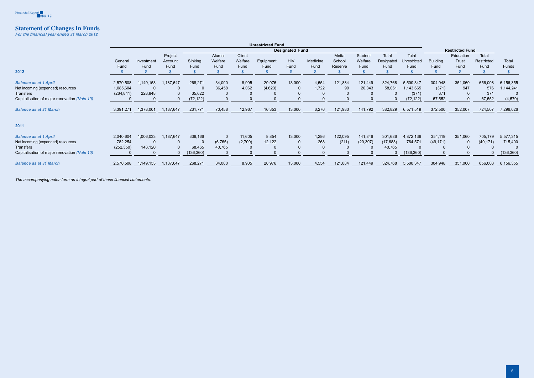

# **Statement of Changes In Funds**

*For the financial year ended 31 March 2012* 

|                                              | <b>Unrestricted Fund</b> |           |                    |            |                        |                   |           |              |          |                 |                        |                     |                       |                 |                    |                     |            |
|----------------------------------------------|--------------------------|-----------|--------------------|------------|------------------------|-------------------|-----------|--------------|----------|-----------------|------------------------|---------------------|-----------------------|-----------------|--------------------|---------------------|------------|
|                                              |                          |           |                    |            | <b>Designated Fund</b> |                   |           |              |          |                 | <b>Restricted Fund</b> |                     |                       |                 |                    |                     |            |
|                                              | General                  | Investmen | Project<br>Account | Sinking    | Alumni<br>Welfare      | Client<br>Welfare | Equipment | <b>HIV</b>   | Medicine | Metta<br>School | Student<br>Welfare     | Total<br>Designated | Total<br>Unrestricted | <b>Building</b> | Education<br>Trust | Total<br>Restricted | Total      |
|                                              | Fund                     | Fund      | Fund               | Fund       | Fund                   | Fund              | Fund      | Fund         | Fund     | Reserve         | Fund                   | Fund                | Fund                  | Fund            | Fund               | Fund                | Funds      |
| 2012                                         |                          |           |                    |            |                        |                   |           |              |          |                 |                        |                     |                       |                 |                    |                     |            |
| <b>Balance as at 1 April</b>                 | 2,570,508                | 1,149,153 | 1,187,647          | 268,271    | 34,000                 | 8,905             | 20,976    | 13,000       | 4,554    | 121,884         | 121,449                | 324,768             | 5,500,347             | 304,948         | 351,060            | 656,008             | 6,156,355  |
| Net incoming (expended) resources            | 1,085,604                |           |                    |            | 36,458                 | 4,062             | (4,623)   | 0            | 1,722    | 99              | 20,343                 | 58,061              | 1,143,665             | (371)           | 947                | 576                 | 1,144,241  |
| Transfers                                    | (264, 841)               | 228,848   |                    | 35,622     |                        |                   |           | 0            |          |                 | $\Omega$               | $\Omega$            | (371)                 | 371             |                    | 371                 |            |
| Capitalisation of major renovation (Note 10) |                          |           |                    | (72, 122)  |                        |                   |           | $\Omega$     |          |                 |                        |                     | (72, 122)             | 67,552          |                    | 67,552              | (4, 570)   |
| <b>Balance as at 31 March</b>                | 3,391,271                | 1,378,001 | 1,187,647          | 231,771    | 70,458                 | 12,967            | 16,353    | 13,000       | 6,276    | 121,983         | 141,792                | 382,829             | 6,571,519             | 372,500         | 352,007            | 724,507             | 7,296,026  |
| 2011                                         |                          |           |                    |            |                        |                   |           |              |          |                 |                        |                     |                       |                 |                    |                     |            |
| <b>Balance as at 1 April</b>                 | 2,040,604                | ,006,033  | 1,187,647          | 336,166    | 0                      | 11,605            | 8,854     | 13,000       | 4,286    | 122,095         | 141,846                | 301,686             | 4,872,136             | 354,119         | 351,060            | 705,179             | 5,577,315  |
| Net incoming (expended) resources            | 782,254                  |           |                    |            | (6, 765)               | (2,700)           | 12,122    | 0            | 268      | (211)           | (20, 397)              | (17, 683)           | 764,571               | (49, 171)       |                    | (49, 171)           | 715,400    |
| <b>Transfers</b>                             | (252, 350)               | 143,120   |                    | 68,465     | 40,765                 |                   | 0         | $\mathbf{0}$ |          |                 | $\Omega$               | 40,765              |                       |                 |                    |                     |            |
| Capitalisation of major renovation (Note 10) |                          |           |                    | (136, 360) |                        |                   | $\Omega$  | $\mathbf{0}$ |          |                 |                        |                     | (136, 360)            |                 |                    |                     | (136, 360) |
| <b>Balance as at 31 March</b>                | 2,570,508                | 1,149,153 | 1,187,647          | 268,271    | 34,000                 | 8,905             | 20,976    | 13,000       | 4,554    | 121,884         | 121,449                | 324,768             | 5,500,347             | 304,948         | 351,060            | 656,008             | 6,156,355  |

*The accompanying notes form an integral part of these financial statements.*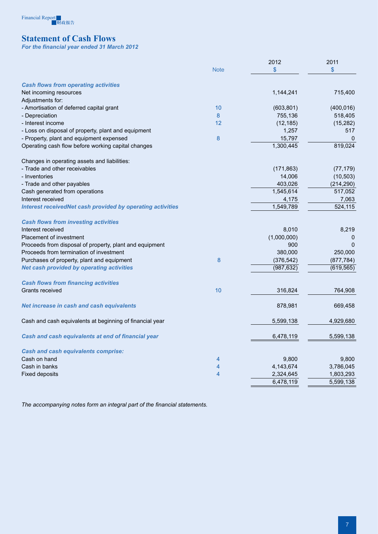# Financial Report<br>图财政报告

# **Statement of Cash Flows**

*For the financial year ended 31 March 2012*

|                                                                   |                | 2012        | 2011       |
|-------------------------------------------------------------------|----------------|-------------|------------|
|                                                                   | <b>Note</b>    | \$          | \$         |
| <b>Cash flows from operating activities</b>                       |                |             |            |
| Net incoming resources                                            |                | 1,144,241   | 715,400    |
| Adjustments for:                                                  |                |             |            |
| - Amortisation of deferred capital grant                          | 10             | (603, 801)  | (400, 016) |
| - Depreciation                                                    | 8              | 755,136     | 518,405    |
| - Interest income                                                 | 12             | (12, 185)   | (15, 282)  |
| - Loss on disposal of property, plant and equipment               |                | 1,257       | 517        |
| - Property, plant and equipment expensed                          | 8              | 15,797      | 0          |
| Operating cash flow before working capital changes                |                | 1,300,445   | 819,024    |
| Changes in operating assets and liabilities:                      |                |             |            |
| - Trade and other receivables                                     |                | (171, 863)  | (77, 179)  |
| - Inventories                                                     |                | 14,006      | (10, 503)  |
| - Trade and other payables                                        |                | 403,026     | (214, 290) |
| Cash generated from operations                                    |                | 1,545,614   | 517,052    |
| Interest received                                                 |                | 4,175       | 7,063      |
| <b>Interest receivedNet cash provided by operating activities</b> |                | 1,549,789   | 524,115    |
| <b>Cash flows from investing activities</b>                       |                |             |            |
| Interest received                                                 |                | 8,010       | 8,219      |
| Placement of investment                                           |                | (1,000,000) | 0          |
| Proceeds from disposal of property, plant and equipment           |                | 900         | $\Omega$   |
| Proceeds from termination of investment                           |                | 380,000     | 250,000    |
| Purchases of property, plant and equipment                        | 8              | (376, 542)  | (877, 784) |
| <b>Net cash provided by operating activities</b>                  |                | (987, 632)  | (619, 565) |
| <b>Cash flows from financing activities</b>                       |                |             |            |
| Grants received                                                   | 10             | 316,824     | 764,908    |
| Net increase in cash and cash equivalents                         |                | 878,981     | 669,458    |
| Cash and cash equivalents at beginning of financial year          |                | 5,599,138   | 4,929,680  |
| Cash and cash equivalents at end of financial year                |                | 6,478,119   | 5,599,138  |
| <b>Cash and cash equivalents comprise:</b>                        |                |             |            |
| Cash on hand                                                      | 4              | 9,800       | 9,800      |
| Cash in banks                                                     | 4              | 4,143,674   | 3,786,045  |
| <b>Fixed deposits</b>                                             | $\overline{4}$ | 2,324,645   | 1,803,293  |
|                                                                   |                | 6,478,119   | 5,599,138  |

*The accompanying notes form an integral part of the financial statements.*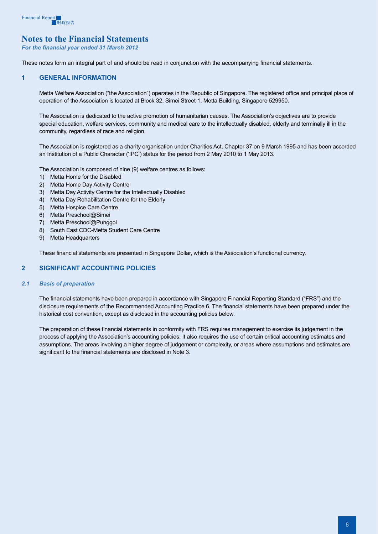

# **Notes to the Financial Statements**

*For the financial year ended 31 March 2012* 

These notes form an integral part of and should be read in conjunction with the accompanying financial statements.

#### **1 GENERAL INFORMATION**

Metta Welfare Association ("the Association") operates in the Republic of Singapore. The registered office and principal place of operation of the Association is located at Block 32, Simei Street 1, Metta Building, Singapore 529950.

The Association is dedicated to the active promotion of humanitarian causes. The Association's objectives are to provide special education, welfare services, community and medical care to the intellectually disabled, elderly and terminally ill in the community, regardless of race and religion.

The Association is registered as a charity organisation under Charities Act, Chapter 37 on 9 March 1995 and has been accorded an Institution of a Public Character ('IPC') status for the period from 2 May 2010 to 1 May 2013.

The Association is composed of nine (9) welfare centres as follows:

- 1) Metta Home for the Disabled
- 2) Metta Home Day Activity Centre
- 3) Metta Day Activity Centre for the Intellectually Disabled
- 4) Metta Day Rehabilitation Centre for the Elderly
- 5) Metta Hospice Care Centre
- 6) Metta Preschool@Simei
- 7) Metta Preschool@Punggol
- 8) South East CDC-Metta Student Care Centre
- 9) Metta Headquarters

These financial statements are presented in Singapore Dollar, which is the Association's functional currency.

#### **2 Significant accounting policies**

#### *2.1 Basis of preparation*

The financial statements have been prepared in accordance with Singapore Financial Reporting Standard ("FRS") and the disclosure requirements of the Recommended Accounting Practice 6. The financial statements have been prepared under the historical cost convention, except as disclosed in the accounting policies below.

The preparation of these financial statements in conformity with FRS requires management to exercise its judgement in the process of applying the Association's accounting policies. It also requires the use of certain critical accounting estimates and assumptions. The areas involving a higher degree of judgement or complexity, or areas where assumptions and estimates are significant to the financial statements are disclosed in Note 3.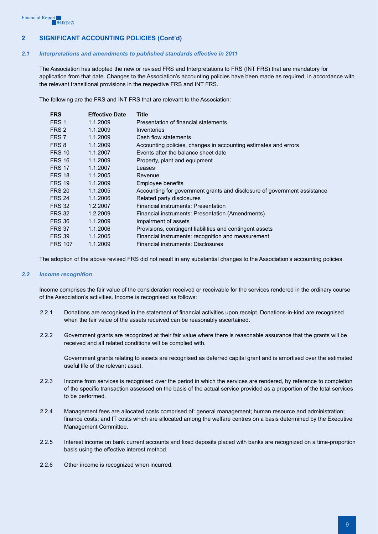#### *2.1 Interpretations and amendments to published standards effective in 2011*

The Association has adopted the new or revised FRS and Interpretations to FRS (INT FRS) that are mandatory for application from that date. Changes to the Association's accounting policies have been made as required, in accordance with the relevant transitional provisions in the respective FRS and INT FRS.

The following are the FRS and INT FRS that are relevant to the Association:

| <b>FRS</b>     | <b>Effective Date</b> | Title                                                                    |
|----------------|-----------------------|--------------------------------------------------------------------------|
| FRS 1          | 1.1.2009              | Presentation of financial statements                                     |
| FRS 2          | 1.1.2009              | Inventories                                                              |
| FRS 7          | 1.1.2009              | Cash flow statements                                                     |
| FRS 8          | 1.1.2009              | Accounting policies, changes in accounting estimates and errors          |
| <b>FRS 10</b>  | 1.1.2007              | Events after the balance sheet date                                      |
| <b>FRS 16</b>  | 1.1.2009              | Property, plant and equipment                                            |
| <b>FRS 17</b>  | 1.1.2007              | Leases                                                                   |
| <b>FRS 18</b>  | 1.1.2005              | Revenue                                                                  |
| <b>FRS 19</b>  | 1.1.2009              | Employee benefits                                                        |
| <b>FRS 20</b>  | 1.1.2005              | Accounting for government grants and disclosure of government assistance |
| <b>FRS 24</b>  | 1.1.2006              | Related party disclosures                                                |
| <b>FRS 32</b>  | 1.2.2007              | Financial instruments: Presentation                                      |
| <b>FRS 32</b>  | 1.2.2009              | Financial instruments: Presentation (Amendments)                         |
| <b>FRS 36</b>  | 1.1.2009              | Impairment of assets                                                     |
| <b>FRS 37</b>  | 1.1.2006              | Provisions, contingent liabilities and contingent assets                 |
| <b>FRS 39</b>  | 1.1.2005              | Financial instruments: recognition and measurement                       |
| <b>FRS 107</b> | 1.1.2009              | <b>Financial instruments: Disclosures</b>                                |

The adoption of the above revised FRS did not result in any substantial changes to the Association's accounting policies.

#### *2.2 Income recognition*

Income comprises the fair value of the consideration received or receivable for the services rendered in the ordinary course of the Association's activities. Income is recognised as follows:

- 2.2.1 Donations are recognised in the statement of financial activities upon receipt. Donations-in-kind are recognised when the fair value of the assets received can be reasonably ascertained.
- 2.2.2 Government grants are recognized at their fair value where there is reasonable assurance that the grants will be received and all related conditions will be complied with.

Government grants relating to assets are recognised as deferred capital grant and is amortised over the estimated useful life of the relevant asset.

- 2.2.3 Income from services is recognised over the period in which the services are rendered, by reference to completion of the specific transaction assessed on the basis of the actual service provided as a proportion of the total services to be performed.
- 2.2.4 Management fees are allocated costs comprised of: general management; human resource and administration; finance costs; and IT costs which are allocated among the welfare centres on a basis determined by the Executive Management Committee.
- 2.2.5 Interest income on bank current accounts and fixed deposits placed with banks are recognized on a time-proportion basis using the effective interest method.
- 2.2.6 Other income is recognized when incurred.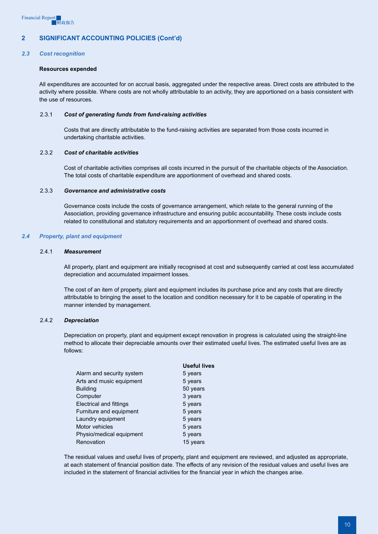#### *2.3 Cost recognition*

#### **Resources expended**

All expenditures are accounted for on accrual basis, aggregated under the respective areas. Direct costs are attributed to the activity where possible. Where costs are not wholly attributable to an activity, they are apportioned on a basis consistent with the use of resources.

#### 2.3.1 *Cost of generating funds from fund-raising activities*

Costs that are directly attributable to the fund-raising activities are separated from those costs incurred in undertaking charitable activities.

#### 2.3.2 *Cost of charitable activities*

Cost of charitable activities comprises all costs incurred in the pursuit of the charitable objects of the Association. The total costs of charitable expenditure are apportionment of overhead and shared costs.

#### 2.3.3 *Governance and administrative costs*

Governance costs include the costs of governance arrangement, which relate to the general running of the Association, providing governance infrastructure and ensuring public accountability. These costs include costs related to constitutional and statutory requirements and an apportionment of overhead and shared costs.

#### *2.4 Property, plant and equipment*

#### 2.4.1 *Measurement*

All property, plant and equipment are initially recognised at cost and subsequently carried at cost less accumulated depreciation and accumulated impairment losses.

The cost of an item of property, plant and equipment includes its purchase price and any costs that are directly attributable to bringing the asset to the location and condition necessary for it to be capable of operating in the manner intended by management.

#### 2.4.2 *Depreciation*

Depreciation on property, plant and equipment except renovation in progress is calculated using the straight-line method to allocate their depreciable amounts over their estimated useful lives. The estimated useful lives are as follows:

|                                | <b>Useful lives</b> |
|--------------------------------|---------------------|
| Alarm and security system      | 5 years             |
| Arts and music equipment       | 5 years             |
| <b>Building</b>                | 50 years            |
| Computer                       | 3 years             |
| <b>Electrical and fittings</b> | 5 years             |
| Furniture and equipment        | 5 years             |
| Laundry equipment              | 5 years             |
| Motor vehicles                 | 5 years             |
| Physio/medical equipment       | 5 years             |
| Renovation                     | 15 years            |
|                                |                     |

The residual values and useful lives of property, plant and equipment are reviewed, and adjusted as appropriate, at each statement of financial position date. The effects of any revision of the residual values and useful lives are included in the statement of financial activities for the financial year in which the changes arise.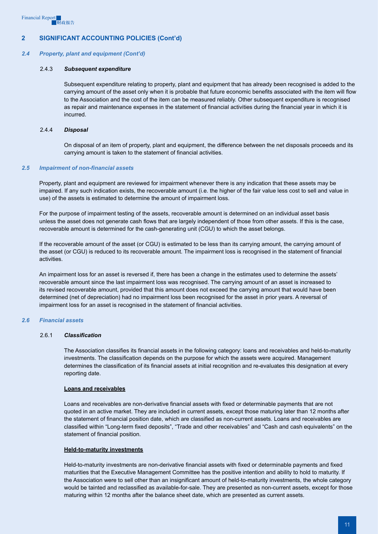#### *2.4 Property, plant and equipment (Cont'd)*

#### 2.4.3 *Subsequent expenditure*

Subsequent expenditure relating to property, plant and equipment that has already been recognised is added to the carrying amount of the asset only when it is probable that future economic benefits associated with the item will flow to the Association and the cost of the item can be measured reliably. Other subsequent expenditure is recognised as repair and maintenance expenses in the statement of financial activities during the financial year in which it is incurred.

#### 2.4.4 *Disposal*

On disposal of an item of property, plant and equipment, the difference between the net disposals proceeds and its carrying amount is taken to the statement of financial activities.

#### *2.5 Impairment of non-financial assets*

Property, plant and equipment are reviewed for impairment whenever there is any indication that these assets may be impaired. If any such indication exists, the recoverable amount (i.e. the higher of the fair value less cost to sell and value in use) of the assets is estimated to determine the amount of impairment loss.

For the purpose of impairment testing of the assets, recoverable amount is determined on an individual asset basis unless the asset does not generate cash flows that are largely independent of those from other assets. If this is the case, recoverable amount is determined for the cash-generating unit (CGU) to which the asset belongs.

If the recoverable amount of the asset (or CGU) is estimated to be less than its carrying amount, the carrying amount of the asset (or CGU) is reduced to its recoverable amount. The impairment loss is recognised in the statement of financial activities.

An impairment loss for an asset is reversed if, there has been a change in the estimates used to determine the assets' recoverable amount since the last impairment loss was recognised. The carrying amount of an asset is increased to its revised recoverable amount, provided that this amount does not exceed the carrying amount that would have been determined (net of depreciation) had no impairment loss been recognised for the asset in prior years. A reversal of impairment loss for an asset is recognised in the statement of financial activities.

#### *2.6 Financial assets*

#### 2.6.1 *Classification*

The Association classifies its financial assets in the following category: loans and receivables and held-to-maturity investments. The classification depends on the purpose for which the assets were acquired. Management determines the classification of its financial assets at initial recognition and re-evaluates this designation at every reporting date.

#### **Loans and receivables**

Loans and receivables are non-derivative financial assets with fixed or determinable payments that are not quoted in an active market. They are included in current assets, except those maturing later than 12 months after the statement of financial position date, which are classified as non-current assets. Loans and receivables are classified within "Long-term fixed deposits", "Trade and other receivables" and "Cash and cash equivalents" on the statement of financial position.

#### **Held-to-maturity investments**

Held-to-maturity investments are non-derivative financial assets with fixed or determinable payments and fixed maturities that the Executive Management Committee has the positive intention and ability to hold to maturity. If the Association were to sell other than an insignificant amount of held-to-maturity investments, the whole category would be tainted and reclassified as available-for-sale. They are presented as non-current assets, except for those maturing within 12 months after the balance sheet date, which are presented as current assets.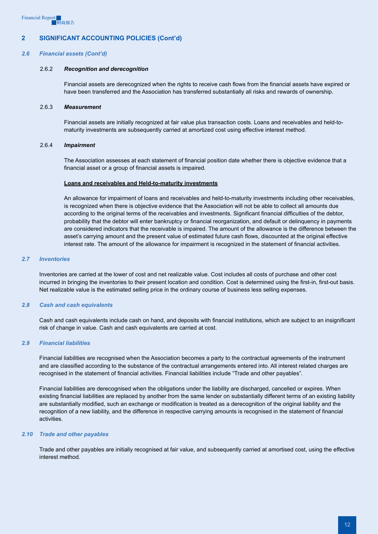#### *2.6 Financial assets (Cont'd)*

#### 2.6.2 *Recognition and derecognition*

Financial assets are derecognized when the rights to receive cash flows from the financial assets have expired or have been transferred and the Association has transferred substantially all risks and rewards of ownership.

#### 2.6.3 *Measurement*

Financial assets are initially recognized at fair value plus transaction costs. Loans and receivables and held-tomaturity investments are subsequently carried at amortized cost using effective interest method.

#### 2.6.4 *Impairment*

The Association assesses at each statement of financial position date whether there is objective evidence that a financial asset or a group of financial assets is impaired.

#### **Loans and receivables and Held-to-maturity investments**

An allowance for impairment of loans and receivables and held-to-maturity investments including other receivables, is recognized when there is objective evidence that the Association will not be able to collect all amounts due according to the original terms of the receivables and investments. Significant financial difficulties of the debtor, probability that the debtor will enter bankruptcy or financial reorganization, and default or delinquency in payments are considered indicators that the receivable is impaired. The amount of the allowance is the difference between the asset's carrying amount and the present value of estimated future cash flows, discounted at the original effective interest rate. The amount of the allowance for impairment is recognized in the statement of financial activities.

#### *2.7 Inventories*

Inventories are carried at the lower of cost and net realizable value. Cost includes all costs of purchase and other cost incurred in bringing the inventories to their present location and condition. Cost is determined using the first-in, first-out basis. Net realizable value is the estimated selling price in the ordinary course of business less selling expenses.

#### *2.8 Cash and cash equivalents*

Cash and cash equivalents include cash on hand, and deposits with financial institutions, which are subject to an insignificant risk of change in value. Cash and cash equivalents are carried at cost.

#### *2.9 Financial liabilities*

Financial liabilities are recognised when the Association becomes a party to the contractual agreements of the instrument and are classified according to the substance of the contractual arrangements entered into. All interest related charges are recognised in the statement of financial activities. Financial liabilities include "Trade and other payables".

Financial liabilities are derecognised when the obligations under the liability are discharged, cancelled or expires. When existing financial liabilities are replaced by another from the same lender on substantially different terms of an existing liability are substantially modified, such an exchange or modification is treated as a derecognition of the original liability and the recognition of a new liability, and the difference in respective carrying amounts is recognised in the statement of financial activities.

#### *2.10 Trade and other payables*

Trade and other payables are initially recognised at fair value, and subsequently carried at amortised cost, using the effective interest method.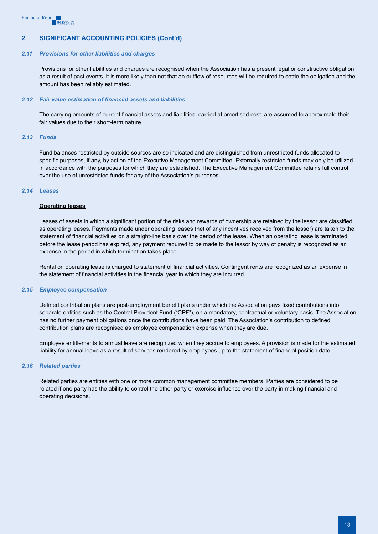#### *2.11 Provisions for other liabilities and charges*

Provisions for other liabilities and charges are recognised when the Association has a present legal or constructive obligation as a result of past events, it is more likely than not that an outflow of resources will be required to settle the obligation and the amount has been reliably estimated.

#### *2.12 Fair value estimation of financial assets and liabilities*

The carrying amounts of current financial assets and liabilities, carried at amortised cost, are assumed to approximate their fair values due to their short-term nature.

#### *2.13 Funds*

Fund balances restricted by outside sources are so indicated and are distinguished from unrestricted funds allocated to specific purposes, if any, by action of the Executive Management Committee. Externally restricted funds may only be utilized in accordance with the purposes for which they are established. The Executive Management Committee retains full control over the use of unrestricted funds for any of the Association's purposes.

#### *2.14 Leases*

#### **Operating leases**

Leases of assets in which a significant portion of the risks and rewards of ownership are retained by the lessor are classified as operating leases. Payments made under operating leases (net of any incentives received from the lessor) are taken to the statement of financial activities on a straight-line basis over the period of the lease. When an operating lease is terminated before the lease period has expired, any payment required to be made to the lessor by way of penalty is recognized as an expense in the period in which termination takes place.

Rental on operating lease is charged to statement of financial activities. Contingent rents are recognized as an expense in the statement of financial activities in the financial year in which they are incurred.

#### *2.15 Employee compensation*

Defined contribution plans are post-employment benefit plans under which the Association pays fixed contributions into separate entities such as the Central Provident Fund ("CPF"), on a mandatory, contractual or voluntary basis. The Association has no further payment obligations once the contributions have been paid. The Association's contribution to defined contribution plans are recognised as employee compensation expense when they are due.

Employee entitlements to annual leave are recognized when they accrue to employees. A provision is made for the estimated liability for annual leave as a result of services rendered by employees up to the statement of financial position date.

#### *2.16 Related parties*

Related parties are entities with one or more common management committee members. Parties are considered to be related if one party has the ability to control the other party or exercise influence over the party in making financial and operating decisions.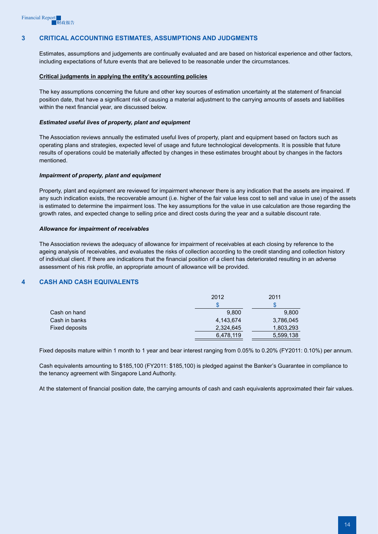## **3 Critical accounting estimates, assumptions and judgments**

Estimates, assumptions and judgements are continually evaluated and are based on historical experience and other factors, including expectations of future events that are believed to be reasonable under the circumstances.

#### **Critical judgments in applying the entity's accounting policies**

The key assumptions concerning the future and other key sources of estimation uncertainty at the statement of financial position date, that have a significant risk of causing a material adjustment to the carrying amounts of assets and liabilities within the next financial year, are discussed below.

#### *Estimated useful lives of property, plant and equipment*

The Association reviews annually the estimated useful lives of property, plant and equipment based on factors such as operating plans and strategies, expected level of usage and future technological developments. It is possible that future results of operations could be materially affected by changes in these estimates brought about by changes in the factors mentioned.

#### *Impairment of property, plant and equipment*

Property, plant and equipment are reviewed for impairment whenever there is any indication that the assets are impaired. If any such indication exists, the recoverable amount (i.e. higher of the fair value less cost to sell and value in use) of the assets is estimated to determine the impairment loss. The key assumptions for the value in use calculation are those regarding the growth rates, and expected change to selling price and direct costs during the year and a suitable discount rate.

#### *Allowance for impairment of receivables*

The Association reviews the adequacy of allowance for impairment of receivables at each closing by reference to the ageing analysis of receivables, and evaluates the risks of collection according to the credit standing and collection history of individual client. If there are indications that the financial position of a client has deteriorated resulting in an adverse assessment of his risk profile, an appropriate amount of allowance will be provided.

## **4 Cash and cash equivalents**

|                | 2012      | 2011      |
|----------------|-----------|-----------|
|                |           |           |
| Cash on hand   | 9,800     | 9,800     |
| Cash in banks  | 4,143,674 | 3,786,045 |
| Fixed deposits | 2,324,645 | 1,803,293 |
|                | 6,478,119 | 5,599,138 |

Fixed deposits mature within 1 month to 1 year and bear interest ranging from 0.05% to 0.20% (FY2011: 0.10%) per annum.

Cash equivalents amounting to \$185,100 (FY2011: \$185,100) is pledged against the Banker's Guarantee in compliance to the tenancy agreement with Singapore Land Authority.

At the statement of financial position date, the carrying amounts of cash and cash equivalents approximated their fair values.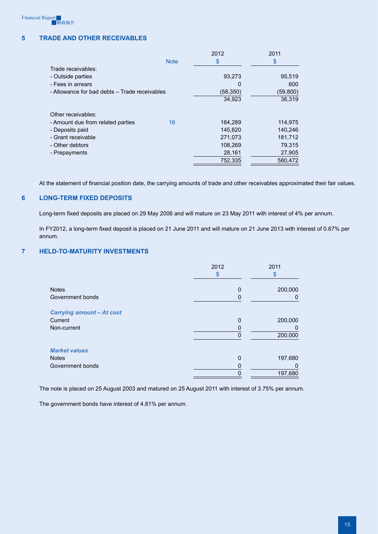# **5 Trade and other receivables**

|                                               |             | 2012      | 2011     |
|-----------------------------------------------|-------------|-----------|----------|
|                                               | <b>Note</b> | \$        | \$       |
| Trade receivables:                            |             |           |          |
| - Outside parties                             |             | 93,273    | 95,519   |
| - Fees in arrears                             |             | 0         | 600      |
| - Allowance for bad debts - Trade receivables |             | (58, 350) | (59,800) |
|                                               |             | 34,923    | 36,319   |
| Other receivables:                            |             |           |          |
| - Amount due from related parties             | 16          | 164,289   | 114,975  |
| - Deposits paid                               |             | 145,620   | 140,246  |
| - Grant receivable                            |             | 271,073   | 181,712  |
| - Other debtors                               |             | 108,269   | 79,315   |
| - Prepayments                                 |             | 28,161    | 27,905   |
|                                               |             | 752,335   | 580,472  |

At the statement of financial position date, the carrying amounts of trade and other receivables approximated their fair values.

## **6 Long-term fixed deposits**

Long-term fixed deposits are placed on 29 May 2006 and will mature on 23 May 2011 with interest of 4% per annum.

In FY2012, a long-term fixed deposit is placed on 21 June 2011 and will mature on 21 June 2013 with interest of 0.67% per annum.

#### **7 Held-to-maturity investments**

|                                  | 2012<br>\$  | 2011<br>\$ |
|----------------------------------|-------------|------------|
| <b>Notes</b>                     | 0           | 200,000    |
| Government bonds                 | 0           | 0          |
| <b>Carrying amount - At cost</b> |             |            |
| Current                          | $\mathbf 0$ | 200,000    |
| Non-current                      | 0           | 0          |
|                                  | $\mathbf 0$ | 200,000    |
| <b>Market values</b>             |             |            |
| <b>Notes</b>                     | 0           | 197,680    |
| Government bonds                 |             | 0          |
|                                  | 0           | 197,680    |

The note is placed on 25 August 2003 and matured on 25 August 2011 with interest of 3.75% per annum.

The government bonds have interest of 4.81% per annum.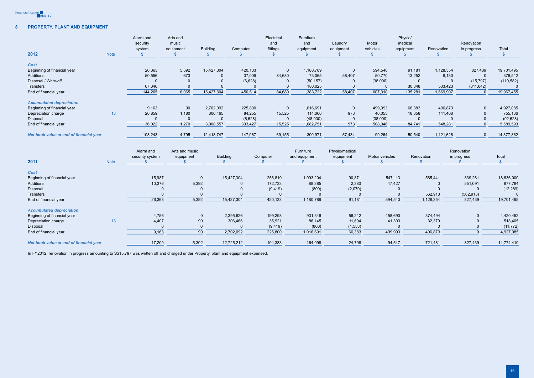

# **8 Property, plant and equipment**

| 2012                                    |             | Alarm and<br>security<br>system | Arts and<br>music<br>equipment | <b>Building</b> | Computer       | Electrical<br>and<br>fittings | Furniture<br>and<br>equipment | Laundry<br>equipment | Motor<br>vehicles | Physio/<br>medical<br>equipment | Renovation     | Renovation<br>in progress | Total         |
|-----------------------------------------|-------------|---------------------------------|--------------------------------|-----------------|----------------|-------------------------------|-------------------------------|----------------------|-------------------|---------------------------------|----------------|---------------------------|---------------|
|                                         | <b>Note</b> | $\mathbf{\$}$                   |                                | - \$            |                | $\mathbb{S}$                  |                               |                      | $\mathbb{S}$      |                                 | -SS            |                           | $\mathcal{S}$ |
| Cost                                    |             |                                 |                                |                 |                |                               |                               |                      |                   |                                 |                |                           |               |
| Beginning of financial year             |             | 26,363                          | 5,392                          | 15,427,304      | 420,133        | $\overline{0}$                | 1,180,789                     | $\overline{0}$       | 594,540           | 91,181                          | 1,128,354      | 827,439                   | 19,701,495    |
| Additions                               |             | 50,556                          | 673                            | $\Omega$        | 37,009         | 84,680                        | 73,065                        | 58,407               | 50,770            | 13,252                          | 8,130          | $\overline{0}$            | 376,542       |
| Disposal / Write-off                    |             | $\overline{0}$                  | $\overline{0}$                 | $\Omega$        | (6,628)        | -0                            | (50, 157)                     | -0                   | (38,000)          | $\mathbf 0$                     | -0             | (15, 797)                 | (110, 582)    |
| Transfers                               |             | 67,346                          | $\overline{0}$                 | $\Omega$        | $\overline{0}$ | $\overline{0}$                | 180,025                       | $\overline{0}$       | $\overline{0}$    | 30,848                          | 533,423        | (811, 642)                | $\Omega$      |
| End of financial year                   |             | 144,265                         | 6,065                          | 15,427,304      | 450,514        | 84,680                        | 1,383,722                     | 58,407               | 607,310           | 135,281                         | 1,669,907      | $\overline{0}$            | 19,967,455    |
| <b>Accumulated depreciation</b>         |             |                                 |                                |                 |                |                               |                               |                      |                   |                                 |                |                           |               |
| Beginning of financial year             |             | 9,163                           | 90                             | 2,702,092       | 225,800        | $\Omega$                      | 1,016,691                     | $\overline{0}$       | 499,993           | 66,383                          | 406,873        | $\overline{0}$            | 4,927,085     |
| Depreciation charge                     | 13          | 26,859                          | 1,180                          | 306,465         | 84,255         | 15,525                        | 114,060                       | 973                  | 46,053            | 18,358                          | 141,408        | $\overline{0}$            | 755,136       |
| Disposal                                |             | $\Omega$                        | $\overline{0}$                 | $\Omega$        | (6,628)        | $\overline{0}$                | (48,000)                      | $\overline{0}$       | (38,000)          | $\overline{0}$                  | $\Omega$       | $\overline{0}$            | (92, 628)     |
| End of financial year                   |             | 36,022                          | 1,270                          | 3,008,557       | 303,427        | 15,525                        | 1,082,751                     | 973                  | 508,046           | 84,741                          | 548,281        | $\overline{0}$            | 5,589,593     |
| Net book value at end of financial year |             | 108,243                         | 4,795                          | 12,418,747      | 147,087        | 69,155                        | 300,971                       | 57,434               | 99,264            | 50,540                          | 1,121,626      | $\Omega$                  | 14,377,862    |
|                                         |             | Alarm and                       | Arts and music                 |                 |                |                               | Furniture                     | Physio/medical       |                   |                                 |                | Renovation                |               |
|                                         |             | security system                 | equipment                      | <b>Building</b> |                | Computer                      | and equipment                 | equipment            | Motos vehicles    | Renovation                      |                | in progress               | Total         |
| 2011                                    | <b>Note</b> |                                 |                                |                 |                |                               |                               |                      |                   |                                 |                |                           |               |
| <b>Cost</b>                             |             |                                 |                                |                 |                |                               |                               |                      |                   |                                 |                |                           |               |
| Beginning of financial year             |             | 15,987                          |                                | $\mathbf 0$     | 15,427,304     | 256,819                       | 1,093,204                     | 90,871               | 547,113           |                                 | 565,441        | 839,261                   | 18,836,000    |
| Additions                               |             | 10,376                          | 5,392                          |                 | $\overline{0}$ | 172,733                       | 88,385                        | 2,380                | 47,427            |                                 | $\Omega$       | 551,091                   | 877,784       |
| Disposal                                |             | $\overline{0}$                  |                                | $\Omega$        | $\overline{0}$ | (9, 419)                      | (800)                         | (2,070)              |                   | $\mathbf 0$                     | $\overline{0}$ | $\mathbf{0}$              | (12, 289)     |
| Transfers                               |             | $\overline{0}$                  |                                | $\Omega$        | $\overline{0}$ | $\mathbf{0}$                  | $\Omega$                      | $\overline{0}$       |                   | $\Omega$                        | 562,913        | (562, 913)                | $\Omega$      |
| End of financial year                   |             | 26,363                          | 5,392                          |                 | 15,427,304     | 420,133                       | 1,180,789                     | 91,181               | 594,540           |                                 | 1,128,354      | 827,439                   | 19,701,495    |
| <b>Accumulated depreciation</b>         |             |                                 |                                |                 |                |                               |                               |                      |                   |                                 |                |                           |               |
| Beginning of financial year             |             | 4,756                           |                                | $\mathbf 0$     | 2,395,626      | 199,298                       | 931,346                       | 56,242               | 458,690           |                                 | 374,494        | $\Omega$                  | 4,420,452     |
| Depreciation charge                     | 13          | 4,407                           |                                | $90\,$          | 306,466        | 35,921                        | 86,145                        | 11,694               | 41,303            |                                 | 32,379         | $\mathbf{0}$              | 518,405       |
| Disposal                                |             | $\overline{0}$                  |                                | $\mathbf 0$     | $\Omega$       | (9, 419)                      | (800)                         | (1, 553)             |                   | $\Omega$                        | $\Omega$       | $\mathbf 0$               | (11, 772)     |
| End of financial year                   |             | 9,163                           |                                | 90              | 2,702,092      | 225,800                       | 1,016,691                     | 66,383               | 499,993           |                                 | 406,873        | $\Omega$                  | 4,927,085     |
| Net book value at end of financial year |             | 17,200                          | 5,302                          |                 | 12,725,212     | 194,333                       | 164,098                       | 24,798               | 94,547            |                                 | 721,481        | 827,439                   | 14,774,410    |
|                                         |             |                                 |                                |                 |                |                               |                               |                      |                   |                                 |                |                           |               |

| 2011                                    | <b>Note</b> | security system | equipment    | <b>Building</b> | Computer | and equipment | equipment | Motos vehicles |
|-----------------------------------------|-------------|-----------------|--------------|-----------------|----------|---------------|-----------|----------------|
| <b>Cost</b>                             |             |                 |              |                 |          |               |           |                |
| Beginning of financial year             |             | 15,987          | $\mathbf{0}$ | 15,427,304      | 256,819  | 1,093,204     | 90,871    | 547,113        |
| Additions                               |             | 10,376          | 5,392        |                 | 172,733  | 88,385        | 2,380     | 47,427         |
| Disposal                                |             |                 |              |                 | (9, 419) | (800)         | (2,070)   |                |
| <b>Transfers</b>                        |             |                 | $\mathbf{0}$ |                 |          |               |           |                |
| End of financial year                   |             | 26,363          | 5,392        | 15,427,304      | 420,133  | 1,180,789     | 91,181    | 594,540        |
| <b>Accumulated depreciation</b>         |             |                 |              |                 |          |               |           |                |
| Beginning of financial year             |             | 4,756           | $\mathbf{0}$ | 2,395,626       | 199,298  | 931,346       | 56,242    | 458,690        |
| Depreciation charge                     | 13          | 4,407           | 90           | 306,466         | 35,921   | 86,145        | 11,694    | 41,303         |
| Disposal                                |             | 0               | $\mathbf{0}$ |                 | (9, 419) | (800)         | (1, 553)  |                |
| End of financial year                   |             | 9,163           | 90           | 2,702,092       | 225,800  | 1,016,691     | 66,383    | 499,993        |
| Net book value at end of financial year |             | 17,200          | 5,302        | 12,725,212      | 194,333  | 164,098       | 24,798    | 94,547         |

In FY2012, renovation in progress amounting to S\$15,797 was written off and charged under Property, plant and equipment expensed.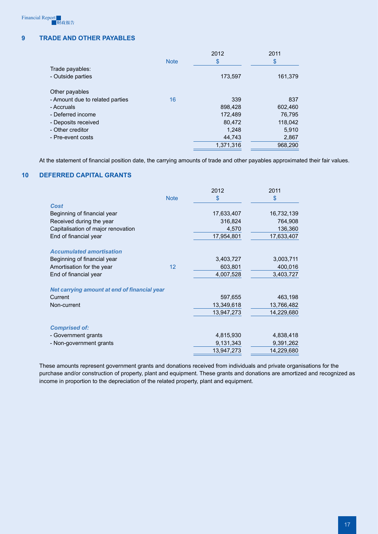# **9 TRADE AND OTHER PayaBLES**

|                                 | <b>Note</b> | 2012<br>\$ | 2011<br>\$ |
|---------------------------------|-------------|------------|------------|
| Trade payables:                 |             |            |            |
| - Outside parties               |             | 173,597    | 161,379    |
| Other payables                  |             |            |            |
| - Amount due to related parties | 16          | 339        | 837        |
| - Accruals                      |             | 898,428    | 602,460    |
| - Deferred income               |             | 172,489    | 76,795     |
| - Deposits received             |             | 80,472     | 118,042    |
| - Other creditor                |             | 1,248      | 5,910      |
| - Pre-event costs               |             | 44,743     | 2,867      |
|                                 |             | 1,371,316  | 968,290    |
|                                 |             |            |            |

At the statement of financial position date, the carrying amounts of trade and other payables approximated their fair values.

# **10 Deferred capital grants**

|                                              |             | 2012       | 2011       |
|----------------------------------------------|-------------|------------|------------|
|                                              | <b>Note</b> | \$         | \$         |
| Cost                                         |             |            |            |
| Beginning of financial year                  |             | 17,633,407 | 16,732,139 |
| Received during the year                     |             | 316,824    | 764,908    |
| Capitalisation of major renovation           |             | 4,570      | 136,360    |
| End of financial year                        |             | 17,954,801 | 17,633,407 |
| <b>Accumulated amortisation</b>              |             |            |            |
| Beginning of financial year                  |             | 3,403,727  | 3,003,711  |
| Amortisation for the year                    | 12          | 603,801    | 400,016    |
| End of financial year                        |             | 4,007,528  | 3,403,727  |
| Net carrying amount at end of financial year |             |            |            |
| Current                                      |             | 597,655    | 463,198    |
| Non-current                                  |             | 13,349,618 | 13,766,482 |
|                                              |             | 13,947,273 | 14,229,680 |
| <b>Comprised of:</b>                         |             |            |            |
| - Government grants                          |             | 4,815,930  | 4,838,418  |
| - Non-government grants                      |             | 9,131,343  | 9,391,262  |
|                                              |             | 13,947,273 | 14,229,680 |
|                                              |             |            |            |

These amounts represent government grants and donations received from individuals and private organisations for the purchase and/or construction of property, plant and equipment. These grants and donations are amortized and recognized as income in proportion to the depreciation of the related property, plant and equipment.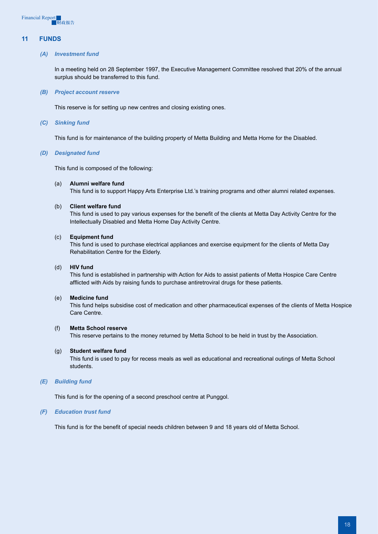# **11 Funds**

#### *(A) Investment fund*

In a meeting held on 28 September 1997, the Executive Management Committee resolved that 20% of the annual surplus should be transferred to this fund.

#### *(B) Project account reserve*

This reserve is for setting up new centres and closing existing ones.

#### *(C) Sinking fund*

This fund is for maintenance of the building property of Metta Building and Metta Home for the Disabled.

#### *(D) Designated fund*

This fund is composed of the following:

#### (a) **Alumni welfare fund**

This fund is to support Happy Arts Enterprise Ltd.'s training programs and other alumni related expenses.

#### (b) **Client welfare fund**

This fund is used to pay various expenses for the benefit of the clients at Metta Day Activity Centre for the Intellectually Disabled and Metta Home Day Activity Centre.

#### (c) **Equipment fund**

This fund is used to purchase electrical appliances and exercise equipment for the clients of Metta Day Rehabilitation Centre for the Elderly.

#### (d) **HIV fund**

This fund is established in partnership with Action for Aids to assist patients of Metta Hospice Care Centre afflicted with Aids by raising funds to purchase antiretroviral drugs for these patients.

#### (e) **Medicine fund**

This fund helps subsidise cost of medication and other pharmaceutical expenses of the clients of Metta Hospice Care Centre.

#### (f) **Metta School reserve**

This reserve pertains to the money returned by Metta School to be held in trust by the Association.

#### (g) **Student welfare fund**

This fund is used to pay for recess meals as well as educational and recreational outings of Metta School students.

#### *(E) Building fund*

This fund is for the opening of a second preschool centre at Punggol.

#### *(F) Education trust fund*

This fund is for the benefit of special needs children between 9 and 18 years old of Metta School.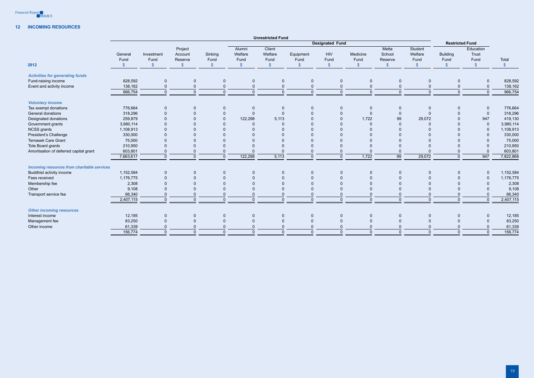

## **12 Incoming resources**

|                                                    |           |                      |                          |                      |                       | <b>Unrestricted Fund</b> |                       |                        |                      |                       |                      |                        |                       |                     |
|----------------------------------------------------|-----------|----------------------|--------------------------|----------------------|-----------------------|--------------------------|-----------------------|------------------------|----------------------|-----------------------|----------------------|------------------------|-----------------------|---------------------|
|                                                    |           |                      |                          |                      |                       |                          |                       | <b>Designated Fund</b> |                      |                       |                      | <b>Restricted Fund</b> |                       |                     |
|                                                    | General   | Investment           | Project<br>Account       | Sinking              | Alumni<br>Welfare     | Client<br>Welfare        | Equipment             | <b>HIV</b>             | Medicine             | Metta<br>School       | Student<br>Welfare   | <b>Building</b>        | Education<br>Trust    |                     |
| 2012                                               | Fund      | Fund<br>$\mathbb{S}$ | Reserve<br>$\mathcal{S}$ | Fund<br>$\mathbb{S}$ | Fund<br>$\sqrt[6]{3}$ | Fund<br>$\sqrt[6]{3}$    | Fund<br>$\sqrt[6]{3}$ | Fund<br>$\mathcal{S}$  | Fund<br>$\mathbf{s}$ | Reserve<br>$\sqrt{2}$ | Fund<br>$\mathbb{S}$ | Fund<br>$\mathbb{S}$   | Fund<br>$\mathcal{S}$ | Total<br>$\sqrt{2}$ |
|                                                    |           |                      |                          |                      |                       |                          |                       |                        |                      |                       |                      |                        |                       |                     |
| <b>Activities for generating funds</b>             |           |                      |                          |                      |                       |                          |                       |                        |                      |                       |                      |                        |                       |                     |
| Fund-raising income                                | 828,592   | $\mathbf 0$          | $\overline{0}$           | $\mathbf 0$          | $\mathbf 0$           | $\overline{0}$           | $\mathbf{0}$          | $\overline{0}$         | $\mathbf 0$          | $\Omega$              | $\mathbf{0}$         | $\mathbf 0$            | $\overline{0}$        | 828,592             |
| Event and activity income                          | 138,162   | $\mathbf 0$          | $\mathbf 0$              | $\mathbf 0$          | $\mathbf{0}$          | $\overline{0}$           | $\Omega$              | $\mathbf 0$            | $\Omega$             | $\mathbf{0}$          | $\mathbf 0$          | $\mathbf{0}$           | $\mathbf 0$           | 138,162             |
|                                                    | 966,754   | $\overline{0}$       | $\mathbf{0}$             | $\mathbf{0}$         | $\mathbf{0}$          | $\overline{0}$           | $\mathbf{0}$          | $\mathbf{0}$           | $\mathbf{0}$         | $\Omega$              | $\Omega$             | $\mathbf{0}$           | $\overline{0}$        | 966,754             |
| <b>Voluntary income</b>                            |           |                      |                          |                      |                       |                          |                       |                        |                      |                       |                      |                        |                       |                     |
| Tax exempt donations                               | 776,664   | $\overline{0}$       | $\overline{0}$           | $\mathbf 0$          | $\mathbf 0$           | $\overline{0}$           | $\mathbf{0}$          | $\overline{0}$         | $\overline{0}$       | $\Omega$              | $\mathbf{0}$         | $\mathbf{0}$           | $\overline{0}$        | 776,664             |
| General donations                                  | 318,296   | $\overline{0}$       | $\mathbf{0}$             | $\mathbf 0$          | $\mathbf{0}$          | $\overline{0}$           | $\Omega$              | $\mathbf 0$            | $\overline{0}$       | $\Omega$              | $\Omega$             | $\mathbf{0}$           | $\mathbf 0$           | 318,296             |
| Designated donations                               | 259,879   | $\mathbf{0}$         | $\mathbf{0}$             | $\mathbf 0$          | 122,298               | 5,113                    | $\mathbf{0}$          | $\mathbf{0}$           | 1,722                | 99                    | 29,072               | $\Omega$               | 947                   | 419,130             |
| Government grants                                  | 3,980,114 | $\Omega$             | $\Omega$                 | $\Omega$             | $\Omega$              | $\Omega$                 | $\Omega$              | $\Omega$               | $\Omega$             | $\Omega$              | $\Omega$             | $\Omega$               | $\overline{0}$        | 3,980,114           |
| <b>NCSS</b> grants                                 | 1,108,913 | $\Omega$             | $\Omega$                 | $\Omega$             | $\Omega$              | $\Omega$                 | $\Omega$              |                        |                      |                       |                      | $\Omega$               | $\overline{0}$        | 1,108,913           |
| President's Challenge                              | 330,000   | $\Omega$             | $\Omega$                 | $\Omega$             | $\Omega$              | $\Omega$                 | $\Omega$              |                        | $\Omega$             |                       |                      | $\Omega$               | $\overline{0}$        | 330,000             |
| <b>Temasek Care Grant</b>                          | 75,000    | $\Omega$             | $\mathbf{0}$             | $\Omega$             | $\Omega$              | $\Omega$                 | $\Omega$              |                        | $\Omega$             |                       |                      | $\Omega$               | $\overline{0}$        | 75,000              |
| Tote Board grants                                  | 210,950   | $\Omega$             | $\mathbf{0}$             |                      | $\Omega$              | $\Omega$                 | $\Omega$              |                        |                      |                       |                      | $\mathbf{0}$           | $\mathbf 0$           | 210,950             |
| Amortisation of deferred capital grant             | 603,801   | $\Omega$             | $\mathbf{0}$             | $\Omega$             | $\Omega$              | $\Omega$                 | $\Omega$              | $\Omega$               | $\Omega$             | $\Omega$              |                      | $\Omega$               | $\overline{0}$        | 603,801             |
|                                                    | 7,663,617 | $\overline{0}$       | $\mathbf{0}$             | $\Omega$             | 122,298               | 5,113                    | $\Omega$              | $\mathbf 0$            | $\overline{1,722}$   | 99                    | 29,072               | $\overline{0}$         | 947                   | 7,822,868           |
| <b>Incoming resources from charitable services</b> |           |                      |                          |                      |                       |                          |                       |                        |                      |                       |                      |                        |                       |                     |
| Buddhist activity income                           | 1,152,584 | $\overline{0}$       | $\overline{0}$           | $\mathbf{0}$         | $\mathbf 0$           | $\overline{0}$           | $\mathbf{0}$          | $\overline{0}$         | $\mathbf{0}$         | $\Omega$              | $\mathbf{0}$         | $\mathbf 0$            | $\overline{0}$        | 1,152,584           |
| Fees received                                      | 1,176,775 | $\mathbf{0}$         | $\mathbf{0}$             | $\mathbf{0}$         | $\Omega$              | $\overline{0}$           | $\mathbf{0}$          | $\mathbf 0$            | $\mathbf{0}$         | $\Omega$              | $\mathbf{0}$         | $\Omega$               | $\overline{0}$        | 1,176,775           |
| Membership fee                                     | 2,308     | $\mathbf{0}$         | $\Omega$                 | $\Omega$             | $\Omega$              | $\Omega$                 | $\Omega$              | $\Omega$               | $\Omega$             |                       |                      | $\Omega$               | $\overline{0}$        | 2,308               |
| Other                                              | 9,108     | $\overline{0}$       | $\Omega$                 |                      | $\Omega$              | $\Omega$                 | $\Omega$              |                        | $\Omega$             |                       |                      | $\Omega$               | $\overline{0}$        | 9,108               |
| Transport service fee                              | 66,340    | $\overline{0}$       | $\mathbf{0}$             | $\Omega$             | $\mathbf{0}$          | $\overline{0}$           | $\Omega$              | $\Omega$               | $\Omega$             | $\Omega$              | $\Omega$             | $\mathbf{0}$           | $\mathsf 0$           | 66,340              |
|                                                    | 2,407,115 | $\overline{0}$       | $\mathbf{0}$             | $\Omega$             | $\mathbf{0}$          | $\Omega$                 | $\mathbf{0}$          | $\Omega$               | $\Omega$             | $\Omega$              | $\Omega$             | $\overline{0}$         | $\overline{0}$        | 2,407,115           |
| <b>Other incoming resources</b>                    |           |                      |                          |                      |                       |                          |                       |                        |                      |                       |                      |                        |                       |                     |
| Interest income                                    | 12,185    | $\mathbf 0$          | $\mathbf 0$              | $\mathbf 0$          | $\mathbf 0$           | $\overline{0}$           | $\mathbf{0}$          | $\mathbf 0$            | $\Omega$             | $\Omega$              | $\overline{0}$       | $\mathbf{0}$           | $\mathbf 0$           | 12,185              |
| Management fee                                     | 83,250    | $\overline{0}$       | $\mathbf 0$              | $\Omega$             | $\Omega$              | $\overline{0}$           | $\Omega$              | $\mathbf{0}$           | $\Omega$             |                       | $\mathbf{0}$         |                        | $\mathbf 0$           | 83,250              |
| Other income                                       | 61,339    | $\overline{0}$       | $\mathbf{0}$             |                      | $\Omega$              | $\overline{0}$           | $\Omega$              |                        | $\Omega$             |                       |                      |                        | $\mathbf 0$           | 61,339              |
|                                                    | 156,774   | $\overline{0}$       |                          |                      |                       |                          |                       |                        |                      |                       |                      |                        |                       | 156,774             |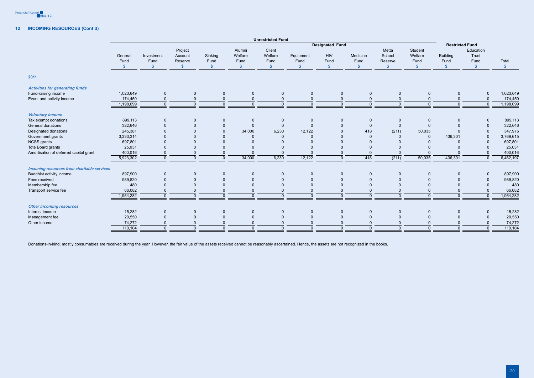

# **12 Incoming resources (Cont'd)**

|                                                    |              |                |                    |                        |                   | <b>Unrestricted Fund</b> |                |                         |                |                 |                        |                 |                    |               |
|----------------------------------------------------|--------------|----------------|--------------------|------------------------|-------------------|--------------------------|----------------|-------------------------|----------------|-----------------|------------------------|-----------------|--------------------|---------------|
|                                                    |              |                |                    | <b>Designated Fund</b> |                   |                          |                |                         |                |                 | <b>Restricted Fund</b> |                 |                    |               |
|                                                    | General      | Investment     | Project<br>Account | Sinking                | Alumni<br>Welfare | Client<br>Welfare        | Equipment      | <b>HIV</b>              | Medicine       | Metta<br>School | Student<br>Welfare     | <b>Building</b> | Education<br>Trust |               |
|                                                    | Fund         | Fund           | Reserve            | Fund                   | Fund              | Fund                     | Fund           | Fund                    | Fund           | Reserve         | Fund                   | Fund            | Fund               | Total         |
|                                                    | $\mathbb{S}$ | $\mathbb{S}$   | - \$               | $\mathbb{S}$           | $\mathbb{S}$      | $\mathbf{\$}$            | $\mathcal{S}$  | $\sqrt[6]{\frac{1}{2}}$ | $\mathbb{S}$   | $\mathcal{S}$   | <b>S</b>               | $\mathbb{S}$    | $\mathcal{S}$      | $\sqrt[6]{3}$ |
| 2011                                               |              |                |                    |                        |                   |                          |                |                         |                |                 |                        |                 |                    |               |
| <b>Activities for generating funds</b>             |              |                |                    |                        |                   |                          |                |                         |                |                 |                        |                 |                    |               |
| Fund-raising income                                | 1,023,649    | $\mathbf 0$    | $\mathbf 0$        | $\mathbf{0}$           | $\mathbf{0}$      | $\overline{0}$           | $\mathbf 0$    | $\mathbf 0$             | $\mathbf 0$    | $\mathbf 0$     | $\mathbf{0}$           | $\mathbf{0}$    | $\overline{0}$     | 1,023,649     |
| Event and activity income                          | 174,450      | $\mathbf 0$    | $\mathbf{0}$       | $\Omega$               | $\mathbf 0$       | $\Omega$                 | $\overline{0}$ | $\mathbf 0$             | $\overline{0}$ | $\Omega$        | $\overline{0}$         | $\Omega$        | $\overline{0}$     | 174,450       |
|                                                    | 1,198,099    | $\mathbf{0}$   | $\mathbf{0}$       | $\Omega$               | $\overline{0}$    | $\Omega$                 | $\Omega$       | $\overline{0}$          | $\overline{0}$ | $\mathbf{0}$    | $\Omega$               | $\mathbf{0}$    | $\overline{0}$     | 1,198,099     |
| <b>Voluntary income</b>                            |              |                |                    |                        |                   |                          |                |                         |                |                 |                        |                 |                    |               |
| Tax exempt donations                               | 899,113      | $\pmb{0}$      | $\mathbf 0$        | $\mathbf 0$            | $\overline{0}$    | $\overline{0}$           | $\mathbf 0$    | $\mathbf 0$             | $\overline{0}$ | $\mathbf 0$     | $\mathbf 0$            | $\mathbf{0}$    | $\mathbf 0$        | 899,113       |
| General donations                                  | 322,646      | $\mathbf 0$    | $\mathbf 0$        | $\pmb{0}$              | $\mathbf 0$       | $\Omega$                 | $\mathbf 0$    | $\mathbf 0$             | $\overline{0}$ | $\mathbf{0}$    | $\mathbf{0}$           | $\Omega$        | $\mathbf 0$        | 322,646       |
| Designated donations                               | 245,381      |                | $\Omega$           | $\mathbf{0}$           | 34,000            | 6,230                    | 12,122         | $\mathbf 0$             | 418            | (211)           | 50,035                 | $\Omega$        | $\overline{0}$     | 347,975       |
| Government grants                                  | 3,333,314    |                |                    |                        | $\Omega$          | $\Omega$                 | $\Omega$       | $\mathbf{0}$            | $\overline{0}$ | $\Omega$        | $\Omega$               | 436,301         | $\overline{0}$     | 3,769,615     |
| <b>NCSS</b> grants                                 | 697,801      |                | $\Omega$           |                        | $\Omega$          |                          |                | $\Omega$                | $\Omega$       |                 |                        | $\Omega$        | $\mathbf{0}$       | 697,801       |
| Tote Board grants                                  | 25,031       |                | $\Omega$           |                        |                   |                          |                | $\Omega$                | $\overline{0}$ |                 | ŋ                      | $\Omega$        | $\overline{0}$     | 25,031        |
| Amortisation of deferred capital grant             | 400,016      | $\Omega$       | $\mathbf{0}$       | $\Omega$               | $\Omega$          |                          |                | $\Omega$                | $\overline{0}$ |                 | $\Omega$               | $\Omega$        | $\overline{0}$     | 400,016       |
|                                                    | 5,923,302    | $\Omega$       | $\mathbf{0}$       | $\Omega$               | 34,000            | 6,230                    | 12,122         | $\mathbf{0}$            | 418            | (211)           | 50,035                 | 436,301         | $\overline{0}$     | 6,462,197     |
| <b>Incoming resources from charitable services</b> |              |                |                    |                        |                   |                          |                |                         |                |                 |                        |                 |                    |               |
| Buddhist activity income                           | 897,900      | $\mathbf 0$    | $\mathbf 0$        | $\Omega$               | $\mathbf{0}$      | $\Omega$                 | $\mathbf 0$    | $\mathbf 0$             | $\overline{0}$ | $\mathbf{0}$    | $\mathbf{0}$           | $\Omega$        | $\mathbf 0$        | 897,900       |
| Fees received                                      | 989,820      | $\Omega$       | $\mathbf{0}$       |                        | $\Omega$          | $\Omega$                 | $\Omega$       | $\Omega$                | $\Omega$       | $\Omega$        | $\Omega$               | $\Omega$        | $\mathbf 0$        | 989,820       |
| Membership fee                                     | 480          | $\Omega$       | $\mathbf{0}$       |                        | $\Omega$          | $\Omega$                 | $\Omega$       | $\mathbf{0}$            | $\Omega$       | $\Omega$        | $\Omega$               | $\Omega$        | $\overline{0}$     | 480           |
| Transport service fee                              | 66,082       | $\Omega$       | $\mathbf{0}$       | $\Omega$               | $\overline{0}$    | $\Omega$                 | $\Omega$       | $\mathbf{0}$            | $\overline{0}$ | $\Omega$        | $\Omega$               | $\mathbf{0}$    | $\overline{0}$     | 66,082        |
|                                                    | 1,954,282    | $\mathbf{0}$   | $\mathbf{0}$       | $\Omega$               | $\mathbf{0}$      | $\Omega$                 | $\Omega$       | $\overline{0}$          | $\overline{0}$ | $\Omega$        | $\Omega$               | $\mathbf{0}$    | $\overline{0}$     | 1,954,282     |
| <b>Other incoming resources</b>                    |              |                |                    |                        |                   |                          |                |                         |                |                 |                        |                 |                    |               |
| Interest income                                    | 15,282       | $\overline{0}$ | $\mathbf 0$        | $\Omega$               | $\Omega$          | $\Omega$                 | $\mathbf 0$    | $\mathbf 0$             | $\overline{0}$ | $\mathbf{0}$    | $\mathbf 0$            | $\Omega$        | $\overline{0}$     | 15,282        |
| Management fee                                     | 20,550       | $\Omega$       | $\mathbf{0}$       | $\Omega$               | $\Omega$          | $\Omega$                 | $\Omega$       | $\mathbf{0}$            | $\overline{0}$ | $\Omega$        | $\mathbf{0}$           | $\Omega$        | $\overline{0}$     | 20,550        |
| Other income                                       | 74,272       | $\Omega$       | $\mathbf{0}$       |                        | $\Omega$          | $\Omega$                 | $\Omega$       | $\mathbf{0}$            | $\overline{0}$ | $\Omega$        | $\Omega$               | $\Omega$        | $\overline{0}$     | 74,272        |
|                                                    | 110,104      | $\mathbf{0}$   | $\Omega$           | $\cap$                 | $\overline{0}$    | $\Omega$                 | $\Omega$       | $\Omega$                | $\Omega$       | $\Omega$        | $\Omega$               | $\Omega$        | $\overline{0}$     | 110,104       |
|                                                    |              |                |                    |                        |                   |                          |                |                         |                |                 |                        |                 |                    |               |

Donations-in-kind, mostly consumables are received during the year. However, the fair value of the assets received cannot be reasonably ascertained. Hence, the assets are not recognized in the books.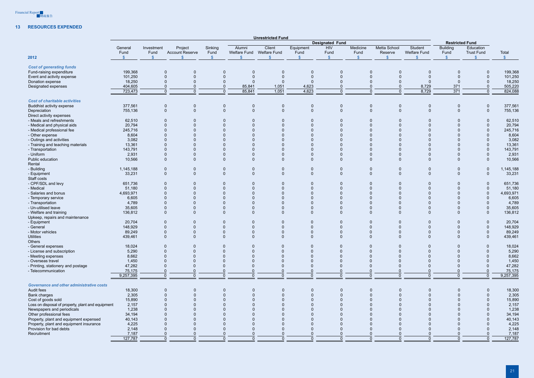

# **13 Resources expended**

|                                                   |                                 |                                    |                                   |                                 |              | <b>Unrestricted Fund</b>                  |                                   |                              |                                   |                                                |                                |                                         |                                                 |                       |
|---------------------------------------------------|---------------------------------|------------------------------------|-----------------------------------|---------------------------------|--------------|-------------------------------------------|-----------------------------------|------------------------------|-----------------------------------|------------------------------------------------|--------------------------------|-----------------------------------------|-------------------------------------------------|-----------------------|
|                                                   |                                 |                                    |                                   |                                 |              |                                           |                                   | <b>Designated Fund</b>       |                                   |                                                |                                | <b>Restricted Fund</b>                  |                                                 |                       |
| 2012                                              | General<br>Fund<br>$\mathbf{s}$ | Investment<br>Fund<br>$\mathbb{S}$ | Project<br><b>Account Reserve</b> | Sinking<br>Fund<br>$\mathbb{S}$ | Alumni<br>£. | Client<br>Welfare Fund Welfare Fund<br>\$ | Equipment<br>Fund<br>$\mathbb{S}$ | HIV<br>Fund                  | Medicine<br>Fund<br>$\mathcal{S}$ | <b>Metta School</b><br>Reserve<br>$\mathbb{S}$ | Student<br><b>Welfare Fund</b> | <b>Building</b><br>Fund<br>$\mathbf{s}$ | Education<br><b>Trust Fund</b><br>$\mathcal{S}$ | Total<br>$\mathbf{s}$ |
|                                                   |                                 |                                    |                                   |                                 |              |                                           |                                   | $\mathcal{S}$                |                                   |                                                |                                |                                         |                                                 |                       |
| <b>Cost of generating funds</b>                   |                                 |                                    |                                   |                                 |              |                                           |                                   |                              |                                   |                                                |                                |                                         |                                                 |                       |
| Fund-raising expenditure                          | 199,368                         | $\overline{0}$                     | $\mathbf 0$                       | 0                               | $\mathbf 0$  | $\overline{0}$                            | 0                                 | $\mathbf 0$                  | $\mathbf 0$                       | $\mathbf{0}$                                   | $\mathbf 0$                    | $\mathbf{0}$                            | $\mathbf 0$                                     | 199,368               |
| Event and activity expense                        | 101,250                         | $\Omega$                           | $\Omega$                          | $\mathbf{0}$                    | $\Omega$     | $\Omega$                                  | $\Omega$                          | $\Omega$                     | $\Omega$                          | $\Omega$                                       | $\Omega$                       | $\Omega$                                | $\overline{0}$                                  | 101,250               |
| Donation expense                                  | 18,250                          | $\Omega$                           | $\Omega$                          | 0                               | $\Omega$     | $\overline{0}$                            |                                   |                              |                                   |                                                |                                | $\Omega$                                | $\overline{0}$                                  | 18,250                |
| Designated expenses                               | 404,605                         | $\Omega$                           | $\mathbf{0}$                      | $\Omega$                        | 85,841       | 1,051                                     | 4,623                             |                              |                                   | $\Omega$                                       | 8,729                          | 371                                     | $\mathbf 0$                                     | 505,220               |
|                                                   | 723,473                         | $\overline{0}$                     | $\mathbf{0}$                      | $\mathbf{0}$                    | 85,841       | 1,051                                     | 4,623                             | $\Omega$                     | $\Omega$                          |                                                | 8,729                          | $\overline{371}$                        | $\overline{0}$                                  | 824,088               |
| <b>Cost of charitable activities</b>              |                                 |                                    |                                   |                                 |              |                                           |                                   |                              |                                   |                                                |                                |                                         |                                                 |                       |
| Buddhist activity expense                         | 377,561                         |                                    |                                   |                                 | $\mathbf 0$  |                                           |                                   |                              | 0                                 | $\mathbf 0$                                    | $\mathbf 0$                    | $\mathbf 0$                             | $\mathbf 0$                                     | 377,561               |
|                                                   | 755,136                         | $\mathbf 0$<br>$\overline{0}$      | $\mathbf 0$<br>$\mathbf 0$        | $\mathbf 0$<br>$\mathbf 0$      | $\mathbf 0$  | $\overline{0}$<br>$\overline{0}$          | 0<br>$\Omega$                     | $\mathbf{0}$<br>$\mathbf{0}$ | $\mathbf{0}$                      | $\mathbf{0}$                                   | $\mathbf{0}$                   | $\Omega$                                | $\mathbf 0$                                     |                       |
| Depreciation                                      |                                 |                                    |                                   |                                 |              |                                           |                                   |                              |                                   |                                                |                                |                                         |                                                 | 755,136               |
| Direct activity expenses                          |                                 |                                    |                                   |                                 |              |                                           |                                   |                              |                                   |                                                |                                |                                         |                                                 |                       |
| - Meals and refreshments                          | 62,510                          | $\Omega$                           | $\mathbf 0$                       | 0                               |              | -0                                        |                                   |                              |                                   |                                                |                                |                                         | $\mathbf 0$                                     | 62,510                |
| - Medical and physical aids                       | 20,794                          | $\Omega$                           | $\Omega$                          | $\Omega$                        |              | $\Omega$                                  | $\Omega$                          |                              |                                   | $\Omega$                                       |                                | $\Omega$                                | $\mathbf 0$                                     | 20,794                |
| - Medical professional fee                        | 245,716                         |                                    |                                   |                                 |              | $\Omega$                                  |                                   |                              |                                   | $\Omega$                                       |                                | $\Omega$                                | $\Omega$                                        | 245,716               |
| - Other expense                                   | 8,604                           | $\Omega$                           |                                   |                                 |              | $\Omega$                                  |                                   |                              |                                   | $\Omega$                                       |                                | $\Omega$                                | $\mathbf{0}$                                    | 8,604                 |
| - Outings and activities                          | 3,082                           |                                    |                                   |                                 |              |                                           |                                   |                              |                                   | $\Omega$                                       |                                |                                         | $\Omega$                                        | 3,082                 |
| - Training and teaching materials                 | 13,361                          |                                    |                                   |                                 |              |                                           |                                   |                              |                                   | $\Omega$                                       |                                |                                         | $\mathbf 0$                                     | 13,361                |
| - Transportation                                  | 143,791                         | $\Omega$                           |                                   | $\Omega$                        |              | $\Omega$                                  |                                   |                              |                                   | $\Omega$                                       |                                | $\Omega$                                | $\overline{0}$                                  | 143,791               |
| - Uniform                                         | 2,931                           | $\Omega$                           |                                   | 0                               |              | $\Omega$                                  |                                   |                              |                                   | $\Omega$                                       |                                | $\mathbf{0}$                            | $\overline{0}$                                  | 2,931                 |
| Public education                                  | 10,566                          | $\mathbf 0$                        | $\Omega$                          | $\Omega$                        | $\Omega$     | $\mathbf{0}$                              | $\Omega$                          | $\Omega$                     | $\Omega$                          | $\Omega$                                       |                                | $\Omega$                                | $\mathbf{0}$                                    | 10,566                |
| Rental                                            |                                 |                                    |                                   |                                 |              |                                           |                                   |                              |                                   |                                                |                                |                                         |                                                 |                       |
|                                                   |                                 |                                    |                                   |                                 |              |                                           |                                   |                              |                                   |                                                |                                |                                         |                                                 |                       |
| - Building                                        | 1,145,188                       | $\overline{0}$                     | 0                                 | 0                               | 0            | $\overline{0}$                            | 0                                 | $\mathbf 0$                  | $\mathbf 0$                       | $\mathbf 0$                                    | 0                              | $\mathbf 0$                             | $\mathbf 0$                                     | 1,145,188             |
| - Equipment                                       | 33,231                          | $\mathbf 0$                        | $\Omega$                          | $\mathbf 0$                     | $\mathbf{0}$ | $\overline{0}$                            | $\Omega$                          | $\mathbf 0$                  | $\mathbf 0$                       | $\mathbf{0}$                                   | $\mathbf{0}$                   | $\mathbf{0}$                            | $\mathbf 0$                                     | 33,231                |
| Staff costs                                       |                                 |                                    |                                   |                                 |              |                                           |                                   |                              |                                   |                                                |                                |                                         |                                                 |                       |
| - CPF/SDL and levy                                | 651,736                         | $\Omega$                           | $\Omega$                          | $\mathbf 0$                     | $\Omega$     | - 0                                       |                                   | $\Omega$                     | $\Omega$                          | $\Omega$                                       |                                | $\Omega$                                | $\mathbf{0}$                                    | 651,736               |
| - Medical                                         | 51,180                          | $\Omega$                           |                                   | $\Omega$                        |              | $\Omega$                                  |                                   | $\Omega$                     |                                   | $\Omega$                                       |                                | $\Omega$                                | $\mathbf{0}$                                    | 51,180                |
| - Salaries and bonus                              | 4,693,971                       | $\Omega$                           |                                   | $\Omega$                        |              |                                           |                                   | $\Omega$                     |                                   | $\Omega$                                       |                                |                                         | $\Omega$                                        | 4,693,971             |
| - Temporary service                               | 6,605                           | $\Omega$                           |                                   |                                 |              |                                           |                                   | $\Omega$                     |                                   | $\Omega$                                       |                                |                                         |                                                 | 6,605                 |
| - Transportation                                  | 4,789                           | $\Omega$                           |                                   | $\Omega$                        |              |                                           |                                   | $\Omega$                     |                                   | $\Omega$                                       |                                | $\Omega$                                |                                                 | 4,789                 |
| - Un-utilised leave                               | 35,605                          | $\Omega$                           |                                   | $\Omega$                        |              | $\Omega$                                  |                                   | $\Omega$                     |                                   | $\Omega$                                       |                                | $\Omega$                                | $\overline{0}$                                  | 35,605                |
| - Welfare and training                            | 136,812                         | $\overline{0}$                     |                                   | $\Omega$                        | $\Omega$     | $\mathbf{0}$                              |                                   | $\Omega$                     | $\Omega$                          | $\Omega$                                       |                                | $\Omega$                                | $\mathbf{0}$                                    | 136,812               |
| Upkeep, repairs and maintenance                   |                                 |                                    |                                   |                                 |              |                                           |                                   |                              |                                   |                                                |                                |                                         |                                                 |                       |
| - Equipment                                       | 20,704                          | $\Omega$                           |                                   | 0                               | $\Omega$     | $\Omega$                                  |                                   | $\Omega$                     |                                   | $\mathbf{0}$                                   |                                | $\Omega$                                | $\mathbf 0$                                     | 20,704                |
| - General                                         | 148,929                         | $\Omega$                           |                                   | $\Omega$                        |              |                                           |                                   | $\Omega$                     |                                   | $\mathbf{0}$                                   |                                | $\Omega$                                | $\Omega$                                        | 148,929               |
|                                                   |                                 | $\Omega$                           |                                   | $\Omega$                        | $\Omega$     | $\Omega$                                  |                                   | $\Omega$                     | $\Omega$                          | $\Omega$                                       |                                | $\Omega$                                | $\Omega$                                        |                       |
| - Motor vehicles                                  | 89,249                          |                                    | $\Omega$                          |                                 |              |                                           |                                   |                              |                                   |                                                | $\Omega$                       |                                         |                                                 | 89,249                |
| Utilities                                         | 439,461                         | $\mathbf 0$                        | 0                                 |                                 | O            |                                           |                                   | 0                            |                                   | $\Omega$                                       |                                | $\Omega$                                | $\mathbf 0$                                     | 439,461               |
| Others                                            |                                 |                                    |                                   |                                 |              |                                           |                                   |                              |                                   |                                                |                                |                                         |                                                 |                       |
| - General expenses                                | 18,024                          | $\Omega$                           | 0                                 | $\mathbf{0}$                    | $\Omega$     | $\Omega$                                  |                                   | $\Omega$                     | $\Omega$                          | $\Omega$                                       |                                | $\Omega$                                |                                                 | 18,024                |
| - License and subscription                        | 5,290                           | $\Omega$                           | $\Omega$                          | $\Omega$                        | $\Omega$     | $\Omega$                                  |                                   | $\Omega$                     | $\Omega$                          | $\Omega$                                       |                                | $\Omega$                                |                                                 | 5,290                 |
| - Meeting expenses                                | 8,662                           | $\Omega$                           |                                   |                                 |              |                                           |                                   | $\Omega$                     |                                   | $\Omega$                                       |                                | $\Omega$                                |                                                 | 8,662                 |
| - Overseas travel                                 | 1,450                           | $\Omega$                           |                                   |                                 |              |                                           |                                   | $\Omega$                     |                                   | $\Omega$                                       |                                |                                         |                                                 | 1,450                 |
| - Printing, stationery and postage                | 47,282                          |                                    |                                   |                                 |              |                                           |                                   | $\Omega$                     |                                   | $\Omega$                                       |                                |                                         | $\Omega$                                        | 47,282                |
| - Telecommunication                               | 75,175                          | $\Omega$                           |                                   |                                 |              |                                           |                                   | $\Omega$                     |                                   | $\Omega$                                       |                                |                                         | $\Omega$                                        | 75,175                |
|                                                   | 9,257,395                       | $\overline{0}$                     | $\Omega$                          | $\Omega$                        | $\Omega$     | $\Omega$                                  | $\Omega$                          | $\mathbf 0$                  | $\Omega$                          | $\Omega$                                       | $\Omega$                       | $\mathbf{0}$                            | $\mathbf{0}$                                    | 9,257,395             |
|                                                   |                                 |                                    |                                   |                                 |              |                                           |                                   |                              |                                   |                                                |                                |                                         |                                                 |                       |
| <b>Governance and other administrative costs</b>  |                                 |                                    |                                   |                                 |              |                                           |                                   |                              |                                   |                                                |                                |                                         |                                                 |                       |
| Audit fees                                        | 18,300                          | $\mathbf 0$                        | $\mathbf 0$                       | 0                               | 0            | $\overline{0}$                            | 0                                 |                              |                                   |                                                | $\mathbf 0$                    |                                         | $\mathbf 0$                                     | 18,300                |
| Bank charges                                      | 2,305                           | $\overline{0}$                     | $\Omega$                          | $\Omega$                        |              | $\overline{0}$                            | $\Omega$                          | $\Omega$                     | $\Omega$                          |                                                | $\Omega$                       | $\Omega$                                | $\overline{0}$                                  | 2,305                 |
| Cost of goods sold                                | 15,890                          |                                    | $\Omega$                          |                                 |              | $\Omega$                                  |                                   |                              |                                   |                                                |                                |                                         | $\Omega$                                        | 15,890                |
| Loss on disposal of property, plant and equipment | 2,157                           |                                    | $\Omega$                          |                                 |              | $\Omega$                                  |                                   |                              |                                   |                                                |                                |                                         | $\Omega$                                        | 2,157                 |
| Newspapers and periodicals                        | 1,238                           |                                    |                                   |                                 |              |                                           |                                   |                              |                                   |                                                |                                |                                         | $\Omega$                                        | 1,238                 |
| Other professional fees                           | 34,194                          |                                    |                                   |                                 |              |                                           |                                   |                              |                                   |                                                |                                |                                         | $\overline{0}$                                  | 34,194                |
| Property, plant and equipment expensed            | 40,143                          |                                    |                                   |                                 |              |                                           |                                   |                              |                                   |                                                |                                |                                         | $\Omega$                                        | 40,143                |
| Property, plant and equipment insurance           | 4,225                           |                                    |                                   |                                 |              |                                           |                                   |                              |                                   |                                                |                                |                                         | $\Omega$                                        | 4,225                 |
| Provision for bad debts                           | 2,148                           | $\Omega$                           | $\Omega$                          |                                 |              | $\Omega$                                  |                                   |                              |                                   |                                                |                                | $\Omega$                                | $\overline{0}$                                  | 2,148                 |
| Recruitment                                       | 7,187                           | $\overline{0}$                     | $\Omega$                          |                                 |              | $\Omega$                                  |                                   |                              |                                   |                                                |                                | $\Omega$                                | $\overline{0}$                                  | 7,187                 |
|                                                   |                                 |                                    | $\Omega$                          |                                 |              | $\Omega$                                  | <sup>n</sup>                      | $\Omega$                     |                                   | $\cap$                                         |                                | $\Omega$                                |                                                 |                       |
|                                                   | 127,787                         | $\overline{0}$                     |                                   |                                 |              |                                           |                                   |                              |                                   |                                                |                                |                                         | $\Omega$                                        | 127,787               |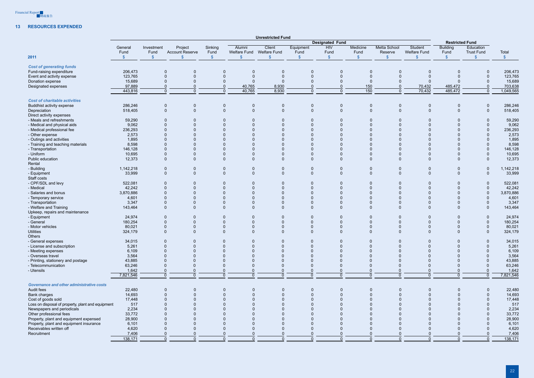

### **13 Resources expended**

|                                                   |                    |                          |                                   |                 |                      | <b>Unrestricted Fund</b>            |                        |               |                                                      |                                |                                |                         |                                |                         |
|---------------------------------------------------|--------------------|--------------------------|-----------------------------------|-----------------|----------------------|-------------------------------------|------------------------|---------------|------------------------------------------------------|--------------------------------|--------------------------------|-------------------------|--------------------------------|-------------------------|
|                                                   |                    |                          |                                   |                 |                      |                                     | <b>Designated Fund</b> |               |                                                      |                                |                                | <b>Restricted Fund</b>  |                                |                         |
|                                                   | General<br>Fund    | Investment<br>Fund       | Project<br><b>Account Reserve</b> | Sinking<br>Fund | Alumni               | Client<br>Welfare Fund Welfare Fund | Equipment<br>Fund      | HIV<br>Fund   | Medicine<br>Fund                                     | <b>Metta School</b><br>Reserve | Student<br><b>Welfare Fund</b> | <b>Building</b><br>Fund | Education<br><b>Trust Fund</b> | Total                   |
| 2011                                              | $\frac{1}{2}$      | $\sqrt[6]{3}$            | $\mathbb{S}$                      | $\frac{1}{2}$   | \$                   | $\mathcal{S}$                       | $\sqrt[6]{3}$          | $\frac{1}{2}$ | $\sqrt[6]{3}$                                        | $\sqrt{2}$                     |                                | $\sqrt[6]{3}$           | $\mathcal{S}$                  | $\sqrt[6]{\frac{1}{2}}$ |
| <b>Cost of generating funds</b>                   |                    |                          |                                   |                 |                      |                                     |                        |               |                                                      |                                |                                |                         |                                |                         |
| Fund-raising expenditure                          | 206,473            | $\mathbf 0$              | $\mathbf 0$                       | 0               | $\mathbf 0$          | $\overline{0}$                      | $\Omega$               |               | $\Omega$<br>$\mathbf 0$                              | $\mathbf{0}$                   | $\mathbf 0$                    |                         | $\mathbf 0$                    | 206,473                 |
| Event and activity expense                        | 123,765            | $\overline{0}$           | $\Omega$                          | $\mathbf 0$     | $\Omega$             | $\Omega$                            | $\Omega$               |               | $\Omega$                                             | $\Omega$                       |                                | $\Omega$                | $\overline{0}$                 | 123,765                 |
| Donation expense                                  | 15,689             | $\Omega$                 | $\Omega$                          | $\Omega$        | $\Omega$             | $\Omega$                            |                        |               | $\Omega$                                             | $\Omega$                       | $\Omega$                       |                         | $\overline{0}$                 | 15,689                  |
| Designated expenses                               | 97,889             | $\overline{0}$           | $\Omega$                          | $\mathbf{0}$    | 40,765               | 8,930                               |                        |               | 150                                                  | $\mathbf{0}$                   | 70,432                         | 485,472                 | $\overline{0}$                 | 703,638                 |
|                                                   | 443,816            | $\overline{0}$           | $\mathbf{0}$                      | $\Omega$        | 40,765               | 8,930                               | $\Omega$               |               | $\overline{150}$<br>$\Omega$                         | $\Omega$                       | 70,432                         | 485,472                 | $\overline{0}$                 | 1,049,565               |
| <b>Cost of charitable activities</b>              |                    |                          |                                   |                 |                      |                                     |                        |               |                                                      |                                |                                |                         |                                |                         |
| Buddhist activity expense                         | 286,246            | $\mathbf 0$              | $\mathbf 0$                       | $\mathbf 0$     | $\mathbf 0$          | $\overline{0}$                      | 0                      |               | $\mathbf 0$<br>0                                     | $\mathbf 0$                    | $\mathbf 0$                    | $\mathbf 0$             | $\mathbf 0$                    | 286,246                 |
| Depreciation                                      | 518,405            | $\overline{0}$           | $\mathbf{0}$                      | $\mathbf 0$     | $\mathbf{0}$         | $\overline{0}$                      | $\Omega$               |               | $\mathbf{0}$<br>$\mathbf{0}$                         | $\Omega$                       | $\Omega$                       | $\Omega$                | $\overline{0}$                 | 518,405                 |
| Direct activity expenses                          |                    |                          |                                   |                 |                      |                                     |                        |               |                                                      |                                |                                |                         |                                |                         |
| - Meals and refreshments                          | 59,290             | $\overline{0}$           | $\mathbf{0}$                      | 0               | $\Omega$             | $\overline{0}$                      |                        |               |                                                      | $\mathbf{0}$                   |                                | $\Omega$                | $\mathbf 0$                    | 59,290                  |
| - Medical and physical aids                       | 9,062              | $\Omega$                 | $\mathbf{0}$                      | $\mathbf{0}$    | $\Omega$             | $\Omega$                            |                        |               |                                                      | $\Omega$                       |                                |                         | $\overline{0}$                 | 9,062                   |
| - Medical professional fee                        | 236,293            |                          | $\Omega$                          |                 |                      | $\Omega$                            |                        |               |                                                      |                                |                                |                         | $\overline{0}$                 | 236,293                 |
|                                                   |                    | $\Omega$                 |                                   |                 |                      | $\Omega$                            |                        |               |                                                      | $\Omega$                       |                                |                         | $\Omega$                       |                         |
| - Other expense                                   | 2,573              |                          |                                   |                 |                      |                                     |                        |               |                                                      |                                |                                |                         |                                | 2,573                   |
| - Outings and activities                          | 1,895              |                          |                                   |                 |                      |                                     |                        |               |                                                      |                                |                                |                         | $\Omega$                       | 1,895                   |
| - Training and teaching materials                 | 8,598              | $\Omega$                 |                                   |                 |                      | $\Omega$                            |                        |               |                                                      | $\Omega$                       |                                |                         | $\overline{0}$                 | 8,598                   |
| - Transportation                                  | 146,128            | $\Omega$                 |                                   | $\Omega$        |                      | $\Omega$                            |                        |               |                                                      | $\Omega$                       |                                | $\Omega$                | $\mathbf 0$                    | 146,128                 |
| - Uniform                                         | 10,695             | $\Omega$                 | $\Omega$                          | $\Omega$        |                      | $\Omega$                            | $\Omega$               |               | $\Omega$                                             | $\Omega$                       |                                | $\Omega$                | $\mathbf 0$                    | 10,695                  |
| Public education                                  | 12,373             | $\mathbf 0$              | $\Omega$                          | $\Omega$        | $\Omega$             | $\overline{0}$                      | $\Omega$               |               | $\Omega$<br>$\Omega$                                 | $\Omega$                       |                                | $\Omega$                | $\mathbf 0$                    | 12,373                  |
| Rental                                            |                    |                          |                                   |                 |                      |                                     |                        |               |                                                      |                                |                                |                         |                                |                         |
| - Building                                        | 1,142,218          | $\mathbf 0$              | $\mathbf 0$                       | $\mathbf 0$     | 0                    | $\overline{0}$                      | 0                      |               | $\mathbf 0$<br>$\mathbf 0$                           | $\mathbf 0$                    | 0                              | $\mathbf{0}$            | $\mathbf 0$                    | 1,142,218               |
| - Equipment                                       | 33,999             | $\mathbf 0$              | $\Omega$                          | $\mathbf{0}$    | $\Omega$             | $\overline{0}$                      | $\Omega$               |               | $\Omega$<br>$\Omega$                                 | $\Omega$                       | $\Omega$                       | $\Omega$                | $\mathbf 0$                    | 33,999                  |
| Staff costs                                       |                    |                          |                                   |                 |                      |                                     |                        |               |                                                      |                                |                                |                         |                                |                         |
| - CPF/SDL and levy                                | 522,081            | $\overline{0}$           |                                   | 0               |                      | $\Omega$                            |                        |               | $\Omega$                                             | $\Omega$                       |                                | $\Omega$                | $\Omega$                       | 522,081                 |
| - Medical                                         | 42,242             | $\Omega$                 |                                   | 0               |                      | $\mathbf{0}$                        |                        |               |                                                      | $\Omega$                       |                                |                         | $\mathbf 0$                    | 42,242                  |
| - Salaries and bonus                              | 3,870,886          | $\overline{0}$           |                                   | $\Omega$        |                      |                                     |                        |               |                                                      | $\Omega$                       |                                | $\Omega$                | $\mathbf 0$                    | 3,870,886               |
| - Temporary service                               | 4,601              | $\Omega$                 |                                   | $\Omega$        |                      | $\Omega$                            |                        |               | $\Omega$                                             | $\Omega$                       |                                | $\Omega$                | $\Omega$                       | 4,601                   |
| - Transportation                                  | 3,347              | $\Omega$                 |                                   | $\Omega$        | $\Omega$             | $\Omega$                            | $\Omega$               |               | $\Omega$                                             | $\Omega$                       |                                | $\Omega$                | $\Omega$                       | 3,347                   |
| - Welfare and Training                            | 143,464            | $\Omega$                 | $\Omega$                          | $\Omega$        | $\Omega$             | $\Omega$                            | $\Omega$               |               | $\Omega$<br>$\Omega$                                 | $\Omega$                       |                                | $\Omega$                | $\mathbf 0$                    | 143,464                 |
| Upkeep, repairs and maintenance                   |                    |                          |                                   |                 |                      |                                     |                        |               |                                                      |                                |                                |                         |                                |                         |
| - Equipment                                       | 24,974             | $\mathbf 0$              | $\Omega$                          | $\mathbf 0$     | $\Omega$             | $\overline{0}$                      |                        |               | $\Omega$<br>$\mathbf{0}$                             | $\mathbf{0}$                   |                                | $\mathbf{0}$            | $\mathbf 0$                    | 24,974                  |
| - General                                         | 180,254            | $\Omega$                 |                                   | $\Omega$        | $\Omega$             | $\Omega$                            |                        |               | $\Omega$                                             | $\Omega$                       |                                | $\Omega$                | $\mathbf 0$                    | 180,254                 |
| - Motor vehicles                                  | 80,021             | $\Omega$                 |                                   | 0               |                      | $\Omega$                            |                        |               | $\Omega$                                             | $\Omega$                       |                                | $\Omega$                | $\Omega$                       | 80,021                  |
| <b>Utilities</b>                                  | 324,179            | $\overline{0}$           | $\Omega$                          | $\Omega$        | $\Omega$             | $\Omega$                            | $\Omega$               |               | $\Omega$<br>$\Omega$                                 | $\Omega$                       | $\Omega$                       | $\Omega$                | $\mathbf{0}$                   | 324,179                 |
| Others                                            |                    |                          |                                   |                 |                      |                                     |                        |               |                                                      |                                |                                |                         |                                |                         |
|                                                   |                    |                          |                                   |                 |                      |                                     |                        |               |                                                      |                                |                                |                         |                                |                         |
| - General expenses                                | 34,015             | $\mathbf 0$              | 0                                 |                 | $\Omega$             |                                     | $\Omega$               |               | $\Omega$<br>$\Omega$                                 | 0                              |                                | $\Omega$<br>$\Omega$    | $\mathbf 0$<br>$\Omega$        | 34,015                  |
| - License and subscription                        | 5,261              | $\Omega$                 | $\Omega$                          | $\Omega$        |                      | $\Omega$                            |                        |               | $\Omega$                                             | $\Omega$                       |                                |                         |                                | 5,261                   |
| - Meeting expenses                                | 6,109              | $\Omega$                 |                                   |                 |                      |                                     |                        |               | $\Omega$                                             | $\Omega$                       |                                |                         |                                | 6,109                   |
| - Overseas travel                                 | 3,564              | $\Omega$                 |                                   |                 |                      |                                     |                        |               | $\Omega$                                             | $\Omega$                       |                                |                         |                                | 3,564                   |
| - Printing, stationery and postage                | 43,885             |                          |                                   |                 |                      |                                     |                        |               |                                                      | $\Omega$                       |                                |                         |                                | 43,885                  |
| - Telecommunication                               | 63,246             | $\Omega$                 |                                   |                 |                      |                                     |                        |               | $\Omega$                                             | $\Omega$                       |                                | $\Omega$                |                                | 63,246                  |
| - Utensils                                        | 1,642<br>7,821,546 | $\Omega$<br>$\mathbf{0}$ | $\Omega$<br>$\Omega$              | $\Omega$        | $\Omega$<br>$\Omega$ | $\Omega$<br>$\Omega$                | $\Omega$               |               | $\mathbf{0}$<br>$\Omega$<br>$\mathbf{0}$<br>$\Omega$ | $\Omega$<br>$\Omega$           | $\Omega$                       | $\Omega$<br>$\Omega$    | $\Omega$<br>$\mathbf{0}$       | 1,642<br>7,821,546      |
|                                                   |                    |                          |                                   |                 |                      |                                     |                        |               |                                                      |                                |                                |                         |                                |                         |
| <b>Governance and other administrative costs</b>  |                    |                          |                                   |                 |                      |                                     |                        |               |                                                      |                                |                                |                         |                                |                         |
| Audit fees                                        | 22,480             | $\mathbf 0$              | $\mathbf{0}$                      | 0               | $\mathbf{0}$         | $\mathbf 0$                         | 0                      |               | $\Omega$<br>$\Omega$                                 | $\mathbf{0}$                   | $\mathbf 0$                    |                         | $\mathbf 0$                    | 22,480                  |
| Bank charges                                      | 14,693             | $\Omega$                 | $\mathbf{0}$                      | $\Omega$        |                      | $\overline{0}$                      | $\Omega$               |               | $\Omega$                                             |                                |                                |                         | $\Omega$                       | 14,693                  |
| Cost of goods sold                                | 17,448             |                          | $\Omega$                          |                 |                      | $\Omega$                            |                        |               |                                                      |                                |                                |                         | $\overline{0}$                 | 17,448                  |
| Loss on disposal of property, plant and equipment | 517                |                          | $\Omega$                          |                 |                      |                                     |                        |               |                                                      |                                |                                |                         | $\Omega$                       | 517                     |
| Newspapers and periodicals                        | 2,234              |                          |                                   |                 |                      |                                     |                        |               |                                                      |                                |                                |                         | $\mathbf 0$                    | 2,234                   |
| Other professional fees                           | 33,772             |                          |                                   |                 |                      |                                     |                        |               |                                                      |                                |                                |                         | $\mathbf 0$                    | 33,772                  |
| Property, plant and equipment expensed            | 28,900             |                          |                                   |                 |                      |                                     |                        |               |                                                      |                                |                                |                         | $\Omega$                       | 28,900                  |
| Property, plant and equipment insurance           | 6,101              |                          |                                   |                 |                      |                                     |                        |               |                                                      |                                |                                |                         | $\Omega$                       | 6,101                   |
| Receivables written off                           | 4,620              | $\Omega$                 | $\Omega$                          |                 |                      | $\Omega$                            | $\Omega$               |               |                                                      |                                |                                | $\Omega$                | $\overline{0}$                 | 4,620                   |
| Recruitment                                       | 7,406              | $\overline{0}$           | $\Omega$                          |                 |                      | $\overline{0}$                      | $\mathbf{0}$           |               |                                                      |                                |                                | $\mathbf{0}$            | $\overline{0}$                 | 7,406                   |
|                                                   | 138,171            | $\Omega$                 | $\Omega$                          | $\Omega$        | $\Omega$             | $\Omega$                            | $\Omega$               |               | $\Omega$                                             | $\Omega$                       |                                | $\Omega$                | $\Omega$                       | 138,171                 |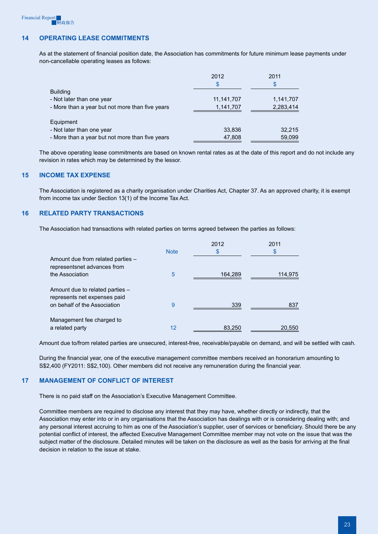# **14 Operating lease commitments**

As at the statement of financial position date, the Association has commitments for future minimum lease payments under non-cancellable operating leases as follows:

|                                                 | 2012<br>S  | 2011<br>\$ |
|-------------------------------------------------|------------|------------|
| <b>Building</b>                                 |            |            |
| - Not later than one year                       | 11,141,707 | 1,141,707  |
| - More than a year but not more than five years | 1,141,707  | 2,283,414  |
| Equipment                                       |            |            |
| - Not later than one year                       | 33,836     | 32,215     |
| - More than a year but not more than five years | 47,808     | 59,099     |

The above operating lease commitments are based on known rental rates as at the date of this report and do not include any revision in rates which may be determined by the lessor.

#### **15 Income tax expense**

The Association is registered as a charity organisation under Charities Act, Chapter 37. As an approved charity, it is exempt from income tax under Section 13(1) of the Income Tax Act.

#### **16 Related party transactions**

The Association had transactions with related parties on terms agreed between the parties as follows:

|                                                                  |             | 2012    | 2011    |
|------------------------------------------------------------------|-------------|---------|---------|
|                                                                  | <b>Note</b> | \$      | \$      |
| Amount due from related parties -<br>representsnet advances from |             |         |         |
| the Association                                                  | 5           | 164,289 | 114,975 |
| Amount due to related parties -<br>represents net expenses paid  |             |         |         |
| on behalf of the Association                                     | 9           | 339     | 837     |
| Management fee charged to                                        |             |         |         |
| a related party                                                  | 12          | 83,250  | 20.550  |

Amount due to/from related parties are unsecured, interest-free, receivable/payable on demand, and will be settled with cash.

During the financial year, one of the executive management committee members received an honorarium amounting to S\$2,400 (FY2011: S\$2,100). Other members did not receive any remuneration during the financial year.

#### **17 Management of conflict of interest**

There is no paid staff on the Association's Executive Management Committee.

Committee members are required to disclose any interest that they may have, whether directly or indirectly, that the Association may enter into or in any organisations that the Association has dealings with or is considering dealing with; and any personal interest accruing to him as one of the Association's supplier, user of services or beneficiary. Should there be any potential conflict of interest, the affected Executive Management Committee member may not vote on the issue that was the subject matter of the disclosure. Detailed minutes will be taken on the disclosure as well as the basis for arriving at the final decision in relation to the issue at stake.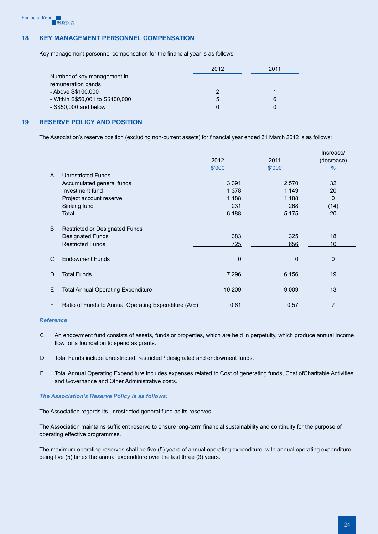## **18 Key management personnel compensation**

Key management personnel compensation for the financial year is as follows:

|                                  | 2012 | 2011 |
|----------------------------------|------|------|
| Number of key management in      |      |      |
| remuneration bands               |      |      |
| - Above S\$100,000               |      |      |
| - Within S\$50,001 to S\$100,000 | b    | 6    |
| $-$ S\$50,000 and below          |      |      |

# **19 Reserve policy and position**

The Association's reserve position (excluding non-current assets) for financial year ended 31 March 2012 is as follows:

|                |                                                      |        |              | Increase/     |
|----------------|------------------------------------------------------|--------|--------------|---------------|
|                |                                                      | 2012   | 2011         | (decrease)    |
|                |                                                      | \$'000 | \$'000       | $\frac{0}{0}$ |
| $\overline{A}$ | Unrestricted Funds                                   |        |              |               |
|                | Accumulated general funds                            | 3,391  | 2,570        | 32            |
|                | Investment fund                                      | 1,378  | 1,149        | 20            |
|                | Project account reserve                              | 1,188  | 1,188        | 0             |
|                | Sinking fund                                         | 231    | 268          | (14)          |
|                | Total                                                | 6,188  | 5,175        | 20            |
|                |                                                      |        |              |               |
| B              | Restricted or Designated Funds                       |        |              |               |
|                | <b>Designated Funds</b>                              | 383    | 325          | 18            |
|                | <b>Restricted Funds</b>                              | 725    | 656          | 10            |
|                |                                                      |        |              |               |
| $\mathsf{C}$   | <b>Endowment Funds</b>                               | 0      | $\mathbf{0}$ | $\mathbf 0$   |
|                |                                                      |        |              |               |
| D              | <b>Total Funds</b>                                   | 7,296  | 6,156        | 19            |
|                |                                                      |        |              |               |
| E              | <b>Total Annual Operating Expenditure</b>            | 10,209 | 9,009        | 13            |
|                |                                                      |        |              |               |
| $\mathsf F$    | Ratio of Funds to Annual Operating Expenditure (A/E) | 0.61   | 0.57         | 7             |

#### *Reference*

- C. An endowment fund consists of assets, funds or properties, which are held in perpetuity, which produce annual income flow for a foundation to spend as grants.
- D. Total Funds include unrestricted, restricted / designated and endowment funds.
- E. Total Annual Operating Expenditure includes expenses related to Cost of generating funds, Cost ofCharitable Activities and Governance and Other Administrative costs.

#### *The Association's Reserve Policy is as follows:*

The Association regards its unrestricted general fund as its reserves.

The Association maintains sufficient reserve to ensure long-term financial sustainability and continuity for the purpose of operating effective programmes.

The maximum operating reserves shall be five (5) years of annual operating expenditure, with annual operating expenditure being five (5) times the annual expenditure over the last three (3) years.